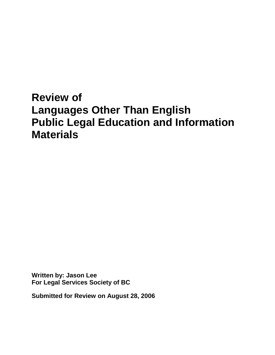# **Review of Languages Other Than English Public Legal Education and Information Materials**

**Written by: Jason Lee For Legal Services Society of BC**

**Submitted for Review on August 28, 2006**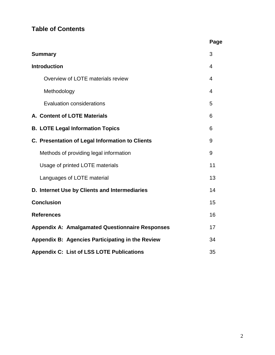# **Table of Contents**

|                                                        | Page |
|--------------------------------------------------------|------|
| <b>Summary</b>                                         | 3    |
| <b>Introduction</b>                                    | 4    |
| Overview of LOTE materials review                      | 4    |
| Methodology                                            | 4    |
| <b>Evaluation considerations</b>                       | 5    |
| A. Content of LOTE Materials                           | 6    |
| <b>B. LOTE Legal Information Topics</b>                | 6    |
| C. Presentation of Legal Information to Clients        | 9    |
| Methods of providing legal information                 | 9    |
| Usage of printed LOTE materials                        | 11   |
| Languages of LOTE material                             | 13   |
| D. Internet Use by Clients and Intermediaries          | 14   |
| <b>Conclusion</b>                                      | 15   |
| <b>References</b>                                      | 16   |
| <b>Appendix A: Amalgamated Questionnaire Responses</b> | 17   |
| Appendix B: Agencies Participating in the Review       | 34   |
| <b>Appendix C: List of LSS LOTE Publications</b>       | 35   |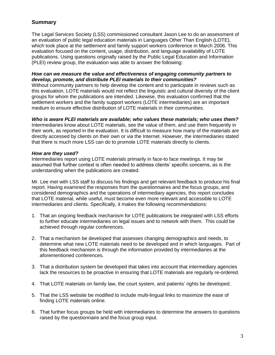# **Summary**

The Legal Services Society (LSS) commissioned consultant Jason Lee to do an assessment of an evaluation of public legal education materials in Languages Other Than English (LOTE), which took place at the settlement and family support workers conference in March 2006. This evaluation focused on the content, usage, distribution, and language availability of LOTE publications. Using questions originally raised by the Public Legal Education and Information (PLEI) review group, the evaluation was able to answer the following:

## *How can we measure the value and effectiveness of engaging community partners to develop, promote, and distribute PLEI materials to their communities?*

Without community partners to help develop the content and to participate in reviews such as this evaluation, LOTE materials would not reflect the linguistic and cultural diversity of the client groups for whom the publications are intended. Likewise, this evaluation confirmed that the settlement workers and the family support workers (LOTE intermediaries) are an important medium to ensure effective distribution of LOTE materials in their communities.

### *Who is aware PLEI materials are available; who values these materials; who uses them?*

Intermediaries know about LOTE materials, see the value of them, and use them frequently in their work, as reported in the evaluation. It is difficult to measure how many of the materials are directly accessed by clients on their own or via the Internet. However, the intermediaries stated that there is much more LSS can do to promote LOTE materials directly to clients.

### *How are they used?*

Intermediaries report using LOTE materials primarily in face-to face meetings. It may be assumed that further context is often needed to address clients" specific concerns, as is the understanding when the publications are created.

Mr. Lee met with LSS staff to discuss his findings and get relevant feedback to produce his final report. Having examined the responses from the questionnaires and the focus groups, and considered demographics and the operations of intermediary agencies, this report concludes that LOTE material, while useful, must become even more relevant and accessible to LOTE intermediaries and clients. Specifically, it makes the following recommendations:

- 1. That an ongoing feedback mechanism for LOTE publications be integrated with LSS efforts to further educate intermediaries on legal issues and to network with them. This could be achieved through regular conferences.
- 2. That a mechanism be developed that assesses changing demographics and needs, to determine what new LOTE materials need to be developed and in which languages. Part of this feedback mechanism is through the information provided by intermediaries at the aforementioned conferences.
- 3. That a distribution system be developed that takes into account that intermediary agencies lack the resources to be proactive in ensuring that LOTE materials are regularly re-ordered.
- 4. That LOTE materials on family law, the court system, and patients" rights be developed.
- 5. That the LSS website be modified to include multi-lingual links to maximize the ease of finding LOTE materials online.
- 6. That further focus groups be held with intermediaries to determine the answers to questions raised by the questionnaire and the focus group input.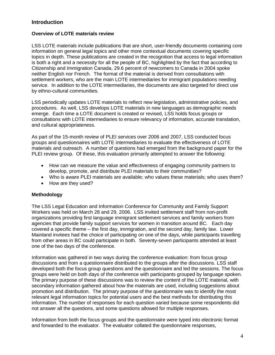# **Introduction**

#### **Overview of LOTE materials review**

LSS LOTE materials include publications that are short, user-friendly documents containing core information on general legal topics and other more contextual documents covering specific topics in depth. These publications are created in the recognition that access to legal information is both a right and a necessity for all the people of BC, highlighted by the fact that according to Citizenship and Immigration Canada, 29.6 percent of newcomers to Canada in 2004 spoke neither English nor French. The format of the material is derived from consultations with settlement workers, who are the main LOTE intermediaries for immigrant populations needing service. In addition to the LOTE intermediaries, the documents are also targeted for direct use by ethno-cultural communities.

LSS periodically updates LOTE materials to reflect new legislation, administrative policies, and procedures. As well, LSS develops LOTE materials in new languages as demographic needs emerge. Each time a LOTE document is created or revised, LSS holds focus groups or consultations with LOTE intermediaries to ensure relevancy of information, accurate translation, and cultural appropriateness.

As part of the 15-month review of PLEI services over 2006 and 2007, LSS conducted focus groups and questionnaires with LOTE intermediaries to evaluate the effectiveness of LOTE materials and outreach. A number of questions had emerged from the background paper for the PLEI review group. Of these, this evaluation primarily attempted to answer the following:

- How can we measure the value and effectiveness of engaging community partners to develop, promote, and distribute PLEI materials to their communities?
- Who is aware PLEI materials are available; who values these materials; who uses them?
- How are they used?

#### **Methodology**

The LSS Legal Education and Information Conference for Community and Family Support Workers was held on March 28 and 29, 2006. LSS invited settlement staff from non-profit organizations providing first language immigrant settlement services and family workers from agencies that provide family support services for women in transition around BC. Each day covered a specific theme – the first day, immigration, and the second day, family law. Lower Mainland invitees had the choice of participating on one of the days, while participants travelling from other areas in BC could participate in both. Seventy-seven participants attended at least one of the two days of the conference.

Information was gathered in two ways during the conference evaluation: from focus group discussions and from a questionnaire distributed to the groups after the discussions. LSS staff developed both the focus group questions and the questionnaire and led the sessions. The focus groups were held on both days of the conference with participants grouped by language spoken. The primary purpose of these discussions was to review the content of the LOTE material, with secondary information gathered about how the materials are used, including suggestions about promotion and distribution. The primary purpose of the questionnaire was to identify the most relevant legal information topics for potential users and the best methods for distributing this information. The number of responses for each question varied because some respondents did not answer all the questions, and some questions allowed for multiple responses.

Information from both the focus groups and the questionnaire were typed into electronic format and forwarded to the evaluator. The evaluator collated the questionnaire responses,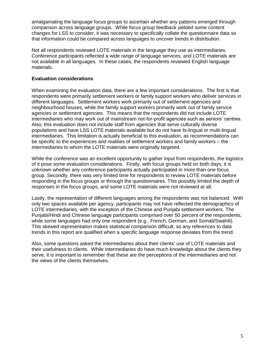amalgamating the language focus groups to ascertain whether any patterns emerged through comparison across language groups. While focus group feedback yielded some content changes for LSS to consider, it was necessary to specifically collate the questionnaire data so that information could be compared across languages to uncover trends in distribution.

Not all respondents reviewed LOTE materials in the language they use as intermediaries. Conference participants reflected a wide range of language services, and LOTE materials are not available in all languages. In these cases, the respondents reviewed English language materials.

### **Evaluation considerations**

When examining the evaluation data, there are a few important considerations. The first is that respondents were primarily settlement workers or family support workers who deliver services in different languages. Settlement workers work primarily out of settlement agencies and neighbourhood houses, while the family support workers primarily work out of family service agencies or settlement agencies. This means that the respondents did not include LOTE intermediaries who may work out of mainstream not-for-profit agencies such as seniors" centres. Also, this evaluation does not include staff from agencies that serve culturally diverse populations and have LSS LOTE materials available but do not have bi-lingual or multi-lingual intermediaries. This limitation is actually beneficial to this evaluation, as recommendations can be specific to the experiences and realities of settlement workers and family workers – the intermediaries to whom the LOTE materials were originally targeted.

While the conference was an excellent opportunity to gather input from respondents, the logistics of it pose some evaluation considerations. Firstly, with focus groups held on both days, it is unknown whether any conference participants actually participated in more than one focus group. Secondly, there was very limited time for respondents to review LOTE materials before responding in the focus groups or through the questionnaires. This possibly limited the depth of responses in the focus groups, and some LOTE materials were not reviewed at all.

Lastly, the representation of different languages among the respondents was not balanced. With only two spaces available per agency, participants may not have reflected the demographics of LOTE intermediaries, with the exception of the Chinese and Punjabi settlement workers. The Punjabi/Hindi and Chinese language participants comprised over 50 percent of the respondents, while some languages had only one respondent (e.g., French, German, and Somali/Swahili). This skewed representation makes statistical comparison difficult, so any references to data trends in this report are qualified when a specific language response deviates from the trend.

Also, some questions asked the intermediaries about their clients" use of LOTE materials and their usefulness to clients. While intermediaries do have much knowledge about the clients they serve, it is important to remember that these are the perceptions of the intermediaries and not the views of the clients themselves.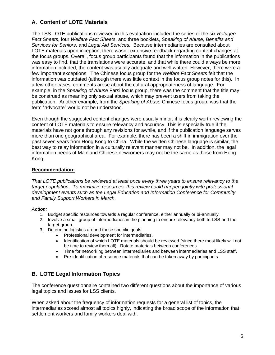# **A. Content of LOTE Materials**

The LSS LOTE publications reviewed in this evaluation included the series of the six *Refugee Fact Sheets*, four *Welfare Fact Sheets*, and three booklets, *Speaking of Abuse, Benefits and Services for Seniors*, and *Legal Aid Services.* Because intermediaries are consulted about LOTE materials upon inception, there wasn"t extensive feedback regarding content changes at the focus groups. Overall, focus group participants found that the information in the publications was easy to find, that the translations were accurate, and that while there could always be more information included, the content was usually adequate and well written. However, there were a few important exceptions. The Chinese focus group for the *Welfare Fact Sheets* felt that the information was outdated (although there was little context in the focus group notes for this). In a few other cases, comments arose about the cultural appropriateness of language. For example, in the *Speaking of Abuse* Farsi focus group, there was the comment that the title may be construed as meaning only sexual abuse, which may prevent users from taking the publication. Another example, from the *Speaking of Abuse* Chinese focus group, was that the term "advocate" would not be understood.

Even though the suggested content changes were usually minor, it is clearly worth reviewing the content of LOTE materials to ensure relevancy and accuracy. This is especially true if the materials have not gone through any revisions for awhile, and if the publication language serves more than one geographical area. For example, there has been a shift in immigration over the past seven years from Hong Kong to China. While the written Chinese language is similar, the best way to relay information in a culturally relevant manner may not be. In addition, the legal information needs of Mainland Chinese newcomers may not be the same as those from Hong Kong.

### **Recommendation:**

*That LOTE publications be reviewed at least once every three years to ensure relevancy to the target population. To maximize resources, this review could happen jointly with professional development events such as the Legal Education and Information Conference for Community and Family Support Workers in March.*

#### *Action:*

- 1. Budget specific resources towards a regular conference, either annually or bi-annually.
- 2. Involve a small group of intermediaries in the planning to ensure relevancy both to LSS and the target group.
- 3. Determine logistics around these specific goals:
	- Professional development for intermediaries.
	- Identification of which LOTE materials should be reviewed (since there most likely will not be time to review them all). Rotate materials between conferences.
	- Time for networking between intermediaries and between intermediaries and LSS staff.
	- Pre-identification of resource materials that can be taken away by participants.

# **B. LOTE Legal Information Topics**

The conference questionnaire contained two different questions about the importance of various legal topics and issues for LSS clients.

When asked about the frequency of information requests for a general list of topics, the intermediaries scored almost all topics highly, indicating the broad scope of the information that settlement workers and family workers deal with.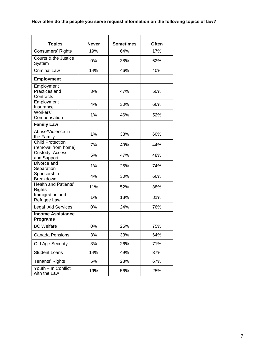| <b>Topics</b>                                  | <b>Never</b> | <b>Sometimes</b> | Often |
|------------------------------------------------|--------------|------------------|-------|
| Consumers' Rights                              | 19%          | 64%              | 17%   |
| Courts & the Justice<br>System                 | 0%           | 38%              | 62%   |
| <b>Criminal Law</b>                            | 14%          | 46%              | 40%   |
| <b>Employment</b>                              |              |                  |       |
| Employment<br>Practices and<br>Contracts       | 3%           | 47%              | 50%   |
| Employment<br>Insurance                        | 4%           | 30%              | 66%   |
| Workers'<br>Compensation                       | 1%           | 46%              | 52%   |
| <b>Family Law</b>                              |              |                  |       |
| Abuse/Violence in<br>the Family                | 1%           | 38%              | 60%   |
| <b>Child Protection</b><br>(removal from home) | 7%           | 49%              | 44%   |
| Custody, Access,<br>and Support                | 5%           | 47%              | 48%   |
| Divorce and<br>Separation                      | 1%           | 25%              | 74%   |
| Sponsorship<br>Breakdown                       | 4%           | 30%              | 66%   |
| <b>Health and Patients'</b><br>Rights          | 11%          | 52%              | 38%   |
| Immigration and<br>Refugee Law                 | 1%           | 18%              | 81%   |
| Legal Aid Services                             | 0%           | 24%              | 76%   |
| <b>Income Assistance</b><br><b>Programs</b>    |              |                  |       |
| <b>BC</b> Welfare                              | 0%           | 25%              | 75%   |
| <b>Canada Pensions</b>                         | 3%           | 33%              | 64%   |
| Old Age Security                               | 3%           | 26%              | 71%   |
| <b>Student Loans</b>                           | 14%          | 49%              | 37%   |
| Tenants' Rights                                | 5%           | 28%              | 67%   |
| Youth - In Conflict<br>with the Law            | 19%          | 56%              | 25%   |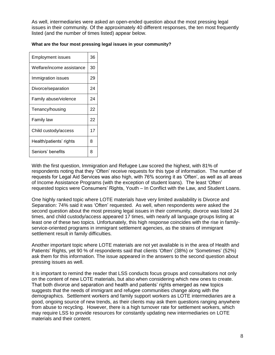As well, intermediaries were asked an open-ended question about the most pressing legal issues in their community. Of the approximately 40 different responses, the ten most frequently listed (and the number of times listed) appear below.

| Employment issues         | 36 |  |  |  |
|---------------------------|----|--|--|--|
| Welfare/income assistance |    |  |  |  |
| Immigration issues        | 29 |  |  |  |
| Divorce/separation        | 24 |  |  |  |
| Family abuse/violence     | 24 |  |  |  |
| Tenancy/housing           | 22 |  |  |  |
| Family law                | 22 |  |  |  |
| Child custody/access      | 17 |  |  |  |
| Health/patients' rights   | 8  |  |  |  |
| Seniors' benefits         | 8  |  |  |  |

#### **What are the four most pressing legal issues in your community?**

With the first question, Immigration and Refugee Law scored the highest, with 81% of respondents noting that they "Often" receive requests for this type of information. The number of requests for Legal Aid Services was also high, with 76% scoring it as "Often", as well as all areas of Income Assistance Programs (with the exception of student loans). The least "Often" requested topics were Consumers' Rights, Youth – In Conflict with the Law, and Student Loans.

One highly ranked topic where LOTE materials have very limited availability is Divorce and Separation: 74% said it was "Often" requested. As well, when respondents were asked the second question about the most pressing legal issues in their community, divorce was listed 24 times, and child custody/access appeared 17 times, with nearly all language groups listing at least one of these two topics. Unfortunately, this high response coincides with the rise in familyservice-oriented programs in immigrant settlement agencies, as the strains of immigrant settlement result in family difficulties.

Another important topic where LOTE materials are not yet available is in the area of Health and Patients' Rights, yet 90 % of respondents said that clients 'Often' (38%) or 'Sometimes' (52%) ask them for this information. The issue appeared in the answers to the second question about pressing issues as well.

It is important to remind the reader that LSS conducts focus groups and consultations not only on the content of new LOTE materials, but also when considering which new ones to create. That both divorce and separation and health and patients" rights emerged as new topics suggests that the needs of immigrant and refugee communities change along with the demographics. Settlement workers and family support workers as LOTE intermediaries are a good, ongoing source of new trends, as their clients may ask them questions ranging anywhere from abuse to recycling. However, there is a high turnover rate for settlement workers, which may require LSS to provide resources for constantly updating new intermediaries on LOTE materials and their content.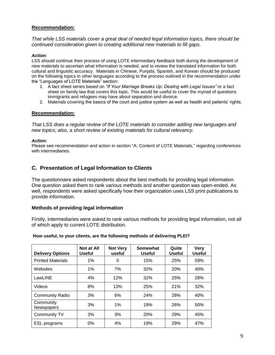#### **Recommendation:**

*That while LSS materials cover a great deal of needed legal information topics, there should be continued consideration given to creating additional new materials to fill gaps.* 

#### *Action:*

LSS should continue their process of using LOTE intermediary feedback both during the development of new materials to ascertain what information is needed, and to review the translated information for both cultural and linguistic accuracy. Materials in Chinese, Punjabi, Spanish, and Korean should be produced on the following topics in other languages according to the process outlined in the recommendation under the "Languages of LOTE Materials" section:

- 1. A fact sheet series based on *"If Your Marriage Breaks Up: Dealing with Legal Issues"* or a fact sheet on family law that covers this topic. This would be useful to cover the myriad of questions immigrants and refugees may have about separation and divorce.
- 2. Materials covering the basics of the court and justice system as well as health and patients" rights.

#### **Recommendation:**

*That LSS does a regular review of the LOTE materials to consider adding new languages and new topics; also, a short review of existing materials for cultural relevancy.* 

#### *Action:*

Please see recommendation and action in section "A: Content of LOTE Materials," regarding conferences with intermediaries.

# **C. Presentation of Legal Information to Clients**

The questionnaire asked respondents about the best methods for providing legal information. One question asked them to rank various methods and another question was open-ended. As well, respondents were asked specifically how their organization uses LSS print publications to provide information.

#### **Methods of providing legal information**

Firstly, intermediaries were asked to rank various methods for providing legal information, not all of which apply to current LOTE distribution.

#### **How useful, to your clients, are the following methods of delivering PLEI?**

| <b>Delivery Options</b>  | Not at All<br><b>Useful</b> | <b>Not Very</b><br>useful | Somewhat<br><b>Useful</b> | Quite<br><b>Useful</b> | <b>Very</b><br><b>Useful</b> |
|--------------------------|-----------------------------|---------------------------|---------------------------|------------------------|------------------------------|
| <b>Printed Materials</b> | 1%                          | 0                         | 15%                       | 25%                    | 59%                          |
| Websites                 | 1%                          | 7%                        | 32%                       | 20%                    | 40%                          |
| LawLINE                  | 4%                          | 12%                       | 32%                       | 25%                    | 28%                          |
| Videos                   | 8%                          | 13%                       | 25%                       | 21%                    | 32%                          |
| <b>Community Radio</b>   | 3%                          | 6%                        | 24%                       | 28%                    | 40%                          |
| Community<br>Newspapers  | 3%                          | 1%                        | 19%                       | 26%                    | 50%                          |
| Community TV             | 3%                          | 3%                        | <b>20%</b>                | 29%                    | 45%                          |
| <b>ESL</b> programs      | $0\%$                       | 4%                        | 19%                       | 29%                    | 47%                          |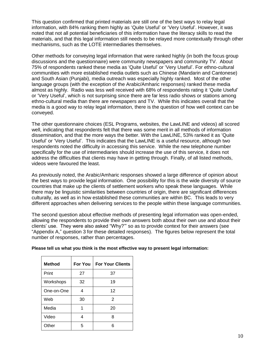This question confirmed that printed materials are still one of the best ways to relay legal information, with 84% ranking them highly as "Quite Useful" or "Very Useful". However, it was noted that not all potential beneficiaries of this information have the literacy skills to read the materials, and that this legal information still needs to be relayed more contextually through other mechanisms, such as the LOTE intermediaries themselves.

Other methods for conveying legal information that were ranked highly (in both the focus group discussions and the questionnaire) were community newspapers and community TV. About 75% of respondents ranked these media as "Quite Useful" or "Very Useful". For ethno-cultural communities with more established media outlets such as Chinese (Mandarin and Cantonese) and South Asian (Punjabi), media outreach was especially highly ranked. Most of the other language groups (with the exception of the Arabic/Amharic responses) ranked these media almost as highly. Radio was less well received with 68% of respondents rating it "Quite Useful" or "Very Useful", which is not surprising since there are far less radio shows or stations among ethno-cultural media than there are newspapers and TV. While this indicates overall that the media is a good way to relay legal information, there is the question of how well context can be conveyed.

The other questionnaire choices (ESL Programs, websites, the LawLINE and videos) all scored well, indicating that respondents felt that there was some merit in all methods of information dissemination, and that the more ways the better. With the LawLINE, 53% ranked it as "Quite Useful" or "Very Useful". This indicates that the LawLINE is a useful resource, although two respondents noted the difficulty in accessing this service. While the new telephone number specifically for the use of intermediaries should increase the use of this service, it does not address the difficulties that clients may have in getting through. Finally, of all listed methods, videos were favoured the least.

As previously noted, the Arabic/Amharic responses showed a large difference of opinion about the best ways to provide legal information. One possibility for this is the wide diversity of source countries that make up the clients of settlement workers who speak these languages. While there may be linguistic similarities between countries of origin, there are significant differences culturally, as well as in how established these communities are within BC. This leads to very different approaches when delivering services to the people within these language communities.

The second question about effective methods of presenting legal information was open-ended, allowing the respondents to provide their own answers both about their own use and about their clients" use. They were also asked "Why?"" so as to provide context for their answers (see "Appendix A," question 3 for these detailed responses). The figures below represent the total number of responses, rather than percentages.

| <b>Method</b> | For You        | <b>For Your Clients</b> |
|---------------|----------------|-------------------------|
| Print         | 27             | 37                      |
| Workshops     | 32             | 19                      |
| One-on-One    | $\overline{4}$ | 12                      |
| Web           | 30             | 2                       |
| Media         | 1              | 20                      |
| Video         | 4              | 8                       |
| Other         | 5              | 6                       |

#### **Please tell us what you think is the most effective way to present legal information:**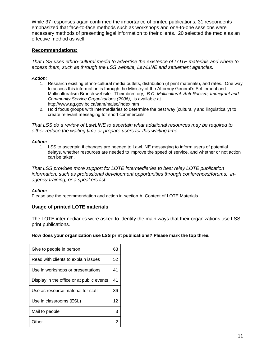While 37 responses again confirmed the importance of printed publications, 31 respondents emphasized that face-to-face methods such as workshops and one-to-one sessions were necessary methods of presenting legal information to their clients. 20 selected the media as an effective method as well.

#### **Recommendations:**

*That LSS uses ethno-cultural media to advertise the existence of LOTE materials and where to access them, such as through the LSS website, LawLINE and settlement agencies.*

#### *Action:*

- 1. Research existing ethno-cultural media outlets, distribution (if print materials), and rates. One way to access this information is through the Ministry of the Attorney General"s Settlement and Multiculturalism Branch website. Their directory, *B.C. Multicultural, Anti-Racism, Immigrant and Community Service Organizations (2006)*, is available at http://www.ag.gov.bc.ca/sam/maiso/index.htm
- 2. Hold focus groups with intermediaries to determine the best way (culturally and linguistically) to create relevant messaging for short commercials.

*That LSS do a review of LawLINE to ascertain what additional resources may be required to either reduce the waiting time or prepare users for this waiting time.*

#### *Action:*

1. LSS to ascertain if changes are needed to LawLINE messaging to inform users of potential delays, whether resources are needed to improve the speed of service, and whether or not action can be taken.

*That LSS provides more support for LOTE intermediaries to best relay LOTE publication information, such as professional development opportunities through conferences/forums, inagency training, or a speakers list.*

#### *Action:*

Please see the recommendation and action in section A: Content of LOTE Materials.

#### **Usage of printed LOTE materials**

The LOTE intermediaries were asked to identify the main ways that their organizations use LSS print publications.

#### **How does your organization use LSS print publications? Please mark the top three.**

| Give to people in person                  | 63 |
|-------------------------------------------|----|
| Read with clients to explain issues       | 52 |
| Use in workshops or presentations         | 41 |
| Display in the office or at public events | 41 |
| Use as resource material for staff        | 36 |
| Use in classrooms (ESL)                   | 12 |
| Mail to people                            | 3  |
| )ther                                     | 2  |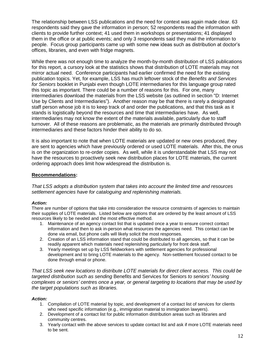The relationship between LSS publications and the need for context was again made clear. 63 respondents said they gave the information in person; 52 respondents read the information with clients to provide further context; 41 used them in workshops or presentations; 41 displayed them in the office or at public events; and only 3 respondents said they mail the information to people. Focus group participants came up with some new ideas such as distribution at doctor"s offices, libraries, and even with fridge magnets.

While there was not enough time to analyze the month-by-month distribution of LSS publications for this report, a cursory look at the statistics shows that distribution of LOTE materials may not mirror actual need. Conference participants had earlier confirmed the need for the existing publication topics. Yet, for example, LSS has much leftover stock of the *Benefits and Services for Seniors* booklet in Punjabi even though LOTE intermediaries for this language group rated this topic as important. There could be a number of reasons for this. For one, many intermediaries download the materials from the LSS website (as outlined in section "D: Internet Use by Clients and Intermediaries"). Another reason may be that there is rarely a designated staff person whose job it is to keep track of and order the publications, and that this task as it stands is logistically beyond the resources and time that intermediaries have. As well, intermediaries may not know the extent of the materials available, particularly due to staff turnover. All of these reasons are problematic, as the materials are primarily distributed through intermediaries and these factors hinder their ability to do so.

It is also important to note that when LOTE materials are updated or new ones produced, they are sent to agencies which have previously ordered or used LOTE materials. After this, the onus is on the organization to re-order copies. As well, while it is understandable that LSS may not have the resources to proactively seek new distribution places for LOTE materials, the current ordering approach does limit how widespread the distribution is.

#### **Recommendations:**

*That LSS adopts a distribution system that takes into account the limited time and resources settlement agencies have for cataloguing and replenishing materials.* 

#### *Action:*

There are number of options that take into consideration the resource constraints of agencies to maintain their supplies of LOTE materials. Listed below are options that are ordered by the least amount of LSS resources likely to be needed and the most effective method.

- 1. Maintenance of an agency contact list that is updated once a year to ensure correct contact information and then to ask in-person what resources the agencies need. This contact can be done via email, but phone calls will likely solicit the most responses.
- 2. Creation of an LSS information stand that could be distributed to all agencies, so that it can be readily apparent which materials need replenishing particularly for front desk staff.
- 3. Yearly meetings set up by LSS fieldworkers with settlement agencies for professional development and to bring LOTE materials to the agency. Non-settlement focused contact to be done through email or phone.

*That LSS seek new locations to distribute LOTE materials for direct client access. This could be targeted distribution such as sending* Benefits and Services for Seniors *to seniors' housing complexes or seniors' centres once a year, or general targeting to locations that may be used by the target populations such as libraries.*

#### *Action:*

- 1. Compilation of LOTE material by topic, and development of a contact list of services for clients who need specific information (e.g., immigration material to immigration lawyers).
- 2. Development of a contact list for public information distribution areas such as libraries and community centres.
- 3. Yearly contact with the above services to update contact list and ask if more LOTE materials need to be sent.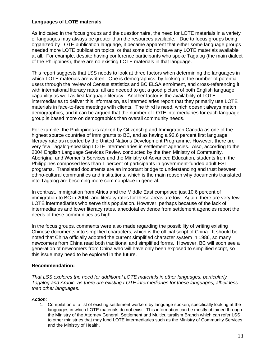#### **Languages of LOTE materials**

As indicated in the focus groups and the questionnaire, the need for LOTE materials in a variety of languages may always be greater than the resources available. Due to focus groups being organized by LOTE publication language, it became apparent that either some language groups needed more LOTE publication topics, or that some did not have any LOTE materials available at all. For example, despite having conference participants who spoke Tagalog (the main dialect of the Philippines), there are no existing LOTE materials in that language.

This report suggests that LSS needs to look at three factors when determining the languages in which LOTE materials are written. One is demographics, by looking at the number of potential users through the review of Census statistics and BC ELSA enrolment, and cross-referencing it with international literacy rates; all are needed to get a good picture of both English language capability as well as first language literacy. Another factor is the availability of LOTE intermediaries to deliver this information, as intermediaries report that they primarily use LOTE materials in face-to-face meetings with clients. The third is need, which doesn't always match demographics, and it can be argued that the number of LOTE intermediaries for each language group is based more on demographics than overall community needs.

For example, the Philippines is ranked by Citizenship and Immigration Canada as one of the highest source countries of immigrants to BC, and as having a 92.6 percent first language literacy rate as reported by the United Nations Development Programme. However, there are very few Tagalog-speaking LOTE intermediaries in settlement agencies. Also, according to the 2004 English Language Services Review conducted by the then Ministry of Community, Aboriginal and Women"s Services and the Ministry of Advanced Education, students from the Philippines composed less than 1 percent of participants in government-funded adult ESL programs. Translated documents are an important bridge to understanding and trust between ethno-cultural communities and institutions, which is the main reason why documents translated into Tagalog are becoming more commonplace in general.

In contrast, immigration from Africa and the Middle East comprised just 10.6 percent of immigration to BC in 2004, and literacy rates for these areas are low. Again, there are very few LOTE intermediaries who serve this population. However, perhaps because of the lack of intermediaries and lower literacy rates, anecdotal evidence from settlement agencies report the needs of these communities as high.

In the focus groups, comments were also made regarding the possibility of writing existing Chinese documents into simplified characters, which is the official script of China. It should be noted that China officially adopted the current simplified character system in 1986, so many newcomers from China read both traditional and simplified forms. However, BC will soon see a generation of newcomers from China who will have only been exposed to simplified script, so this issue may need to be explored in the future.

#### **Recommendation:**

*That LSS explores the need for additional LOTE materials in other languages, particularly Tagalog and Arabic, as there are existing LOTE intermediaries for these languages, albeit less than other languages.* 

#### *Action:*

1. Compilation of a list of existing settlement workers by language spoken, specifically looking at the languages in which LOTE materials do not exist. This information can be mostly obtained through the Ministry of the Attorney General, Settlement and Multiculturalism Branch which can refer LSS to other ministries that may fund LOTE intermediaries such as the Ministry of Community Services and the Ministry of Health.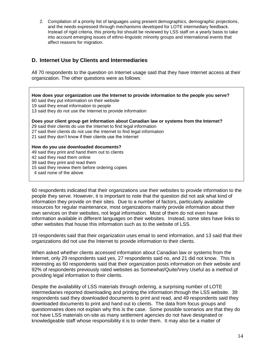2. Compilation of a priority list of languages using present demographics, demographic projections, and the needs expressed through mechanisms developed for LOTE intermediary feedback. Instead of rigid criteria, this priority list should be reviewed by LSS staff on a yearly basis to take into account emerging issues of ethno-linguistic minority groups and international events that affect reasons for migration.

# **D. Internet Use by Clients and Intermediaries**

All 70 respondents to the question on Internet usage said that they have Internet access at their organization. The other questions were as follows:

**How does your organization use the Internet to provide information to the people you serve?** 60 said they put information on their website 19 said they email information to people 13 said they do not use the Internet to provide information **Does your client group get information about Canadian law or systems from the Internet?** 29 said their clients do use the Internet to find legal information 27 said their clients do not use the Internet to find legal information 21 said they don"t know if their clients use the Internet **How do you use downloaded documents?** 49 said they print and hand them out to clients 42 said they read them online 39 said they print and read them

15 said they review them before ordering copies

4 said none of the above

60 respondents indicated that their organizations use their websites to provide information to the people they serve. However, it is important to note that the question did not ask what kind of information they provide on their sites. Due to a number of factors, particularly available resources for regular maintenance, most organizations mainly provide information about their own services on their websites, not legal information. Most of them do not even have information available in different languages on their websites. Instead, some sites have links to other websites that house this information such as to the website of LSS.

19 respondents said that their organization uses email to send information, and 13 said that their organizations did not use the Internet to provide information to their clients.

When asked whether clients accessed information about Canadian law or systems from the Internet, only 29 respondents said yes, 27 respondents said no, and 21 did not know. This is interesting as 60 respondents said that their organization posts information on their website and 92% of respondents previously rated websites as Somewhat/Quite/Very Useful as a method of providing legal information to their clients.

Despite the availability of LSS materials through ordering, a surprising number of LOTE intermediaries reported downloading and printing the information through the LSS website. 39 respondents said they downloaded documents to print and read, and 49 respondents said they downloaded documents to print and hand out to clients. The data from focus groups and questionnaires does not explain why this is the case. Some possible scenarios are that they do not have LSS materials on-site as many settlement agencies do not have designated or knowledgeable staff whose responsibility it is to order them. It may also be a matter of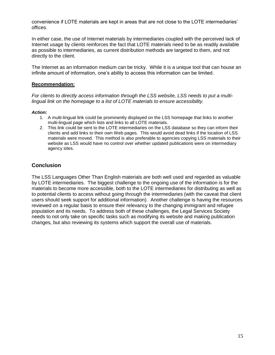convenience if LOTE materials are kept in areas that are not close to the LOTE intermediaries" offices.

In either case, the use of Internet materials by intermediaries coupled with the perceived lack of Internet usage by clients reinforces the fact that LOTE materials need to be as readily available as possible to intermediaries, as current distribution methods are targeted to them, and not directly to the client.

The Internet as an information medium can be tricky. While it is a unique tool that can house an infinite amount of information, one's ability to access this information can be limited.

#### **Recommendation:**

*For clients to directly access information through the LSS website, LSS needs to put a multilingual link on the homepage to a list of LOTE materials to ensure accessibility.*

#### *Action:*

- 1. A multi-lingual link could be prominently displayed on the LSS homepage that links to another multi-lingual page which lists and links to all LOTE materials.
- 2. This link could be sent to the LOTE intermediaries on the LSS database so they can inform their clients and add links to their own Web pages. This would avoid dead links if the location of LSS materials were moved. This method is also preferable to agencies copying LSS materials to their website as LSS would have no control over whether updated publications were on intermediary agency sites.

#### **Conclusion**

The LSS Languages Other Than English materials are both well used and regarded as valuable by LOTE intermediaries. The biggest challenge to the ongoing use of the information is for the materials to become more accessible, both to the LOTE intermediaries for distributing as well as to potential clients to access without going through the intermediaries (with the caveat that client users should seek support for additional information). Another challenge is having the resources reviewed on a regular basis to ensure their relevancy to the changing immigrant and refugee population and its needs. To address both of these challenges, the Legal Services Society needs to not only take on specific tasks such as modifying its website and making publication changes, but also reviewing its systems which support the overall use of materials.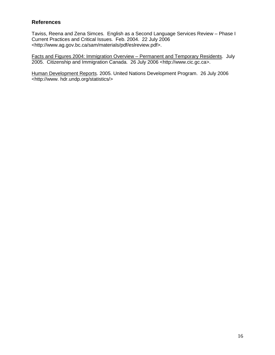# **References**

Taviss, Reena and Zena Simces. English as a Second Language Services Review – Phase I Current Practices and Critical Issues. Feb. 2004. 22 July 2006 <http://www.ag.gov.bc.ca/sam/materials/pdf/eslreview.pdf>.

Facts and Figures 2004: Immigration Overview – Permanent and Temporary Residents. July 2005. Citizenship and Immigration Canada. 26 July 2006 <http://www.cic.gc.ca>.

Human Development Reports. 2005. United Nations Development Program. 26 July 2006 <http://www. hdr.undp.org/statistics/>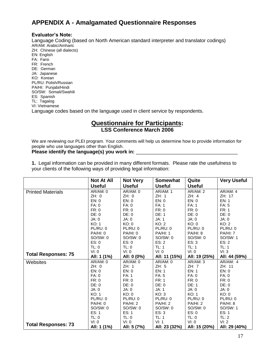# **APPENDIX A - Amalgamated Questionnaire Responses**

#### **Evaluator's Note:**

Language Coding (based on North American standard interpreter and translator codings) AR/AM: Arabic/Amharic ZH: Chinese (all dialects) EN: English FA: Farsi FR: French DE: German JA: Japanese KO: Korean PL/RU: Polish/Russian PA/HI: Punjabi/Hindi SO/SW: Somali/Swahili ES: Spanish TL: Tagalog VI: Vietnamese Language codes based on the language used in client service by respondents.

## **Questionnaire for Participants: LSS Conference March 2006**

We are reviewing our PLEI program. Your comments will help us determine how to provide information for people who use languages other than English.

#### Please identify the language(s) you work in:

**1.** Legal information can be provided in many different formats. Please rate the usefulness to your clients of the following ways of providing legal information:

|                            | <b>Not At All</b> | <b>Not Very</b> | <b>Somewhat</b> | Quite           | <b>Very Useful</b> |
|----------------------------|-------------------|-----------------|-----------------|-----------------|--------------------|
|                            | <b>Useful</b>     | <b>Useful</b>   | <b>Useful</b>   | <b>Useful</b>   |                    |
| <b>Printed Materials</b>   | AR/AM: 0          | AR/AM: 0        | <b>AR/AM: 1</b> | <b>AR/AM: 2</b> | AR/AM: 4           |
|                            | ZH: 0             | ZH: 0           | ZH: 1           | ZH: 4           | ZH: 17             |
|                            | EN: 0             | EN: 0           | EN: 0           | EN: 0           | EN: 1              |
|                            | FA: 0             | <b>FA: 0</b>    | <b>FA: 1</b>    | <b>FA: 1</b>    | <b>FA: 5</b>       |
|                            | FR: 0             | FR: 0           | FR: 0           | FR: 0           | <b>FR: 1</b>       |
|                            | DE: 0             | DE: 0           | DE: 1           | DE: 0           | DE: 0              |
|                            | JA: 0             | JA: 0           | JA: 1           | JA: 0           | JA: 0              |
|                            | <b>KO: 1</b>      | KO: 0           | KO: 2           | KO: 0           | KO: 2              |
|                            | PL/RU: 0          | PL/RU: 0        | PL/RU: 0        | PL/RU: 0        | PL/RU: 0           |
|                            | PA/HI: 0          | PA/HI: 0        | <b>PA/HI: 1</b> | <b>PA/HI: 8</b> | <b>PA/HI: 7</b>    |
|                            | SO/SW: 0          | SO/SW: 0        | SO/SW: 0        | SO/SW: 0        | SO/SW: 1           |
|                            | ES: 0             | ES: 0           | ES: 2           | ES: 3           | ES: 2              |
|                            | TL: 0             | TL: 0           | TL: 1           | <b>TL: 1</b>    | <b>TL: 1</b>       |
|                            | VI: 0             | VI: 0           | VI: 0           | VI: 0           | VI: 3              |
| <b>Total Responses: 75</b> | All: 1 (1%)       | All: 0 (0%)     | All: 11 (15%)   | All: 19 (25%)   | All: 44 (59%)      |
| Websites                   | AR/AM: 0          | AR/AM: 0        | AR/AM: 0        | AR/AM: 3        | AR/AM: 4           |
|                            | ZH: 0             | ZH: 1           | ZH: 5           | ZH: 7           | ZH: 11             |
|                            | EN: 0             | EN: 0           | <b>EN: 1</b>    | EN: 1           | EN: 0              |
|                            | FA: 0             | FA: 1           | FA: 5           | <b>FA: 0</b>    | FA: 0              |
|                            | FR: 0             | FR: 0           | FR: 1           | FR: 0           | FR: 0              |
|                            | DE: 0             | DE: 0           | DE: 0           | <b>DE: 1</b>    | DE: 0              |
|                            | JA: 0             | JA: 0           | JA: 1           | JA: 0           | JA: 0              |
|                            | <b>KO: 1</b>      | KO: 0           | KO: 3           | KO: 1           | KO: 0              |
|                            | PL/RU: 0          | PL/RU: 0        | PL/RU: 0        | PL/RU: 0        | PL/RU: 0           |
|                            | PA/HI: 0          | <b>PA/HI: 2</b> | <b>PA/HI: 2</b> | <b>PA/HI: 2</b> | PA/HI: 8           |
|                            | SO/SW: 0          | SO/SW: 0        | SO/SW: 0        | SO/SW: 0        | SO/SW: 1           |
|                            | ES: 1             | ES: 1           | ES: 3           | ES: 0           | ES: 1              |
|                            | TL: 0             | TL: 0           | <b>TL: 1</b>    | TL: 0           | TL: 2              |
|                            | VI: 0             | VI: 0           | VI: 1           | VI: 0           | VI: 2              |
| <b>Total Responses: 73</b> | All: 1 (1%)       | All: 5 (7%)     | All: 23 (32%)   | All: 15 (20%)   | All: 29 (40%)      |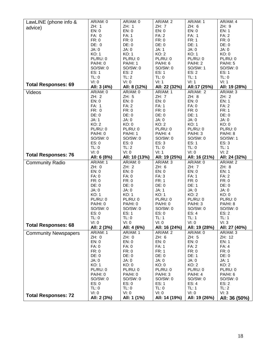| LawLINE (phone info &       | AR/AM: 0        | AR/AM: 0        | AR/AM: 2      | AR/AM: 1      | AR/AM: 4      |
|-----------------------------|-----------------|-----------------|---------------|---------------|---------------|
|                             | ZH: 1           | ZH: 1           | ZH: 7         | ZH: 6         | ZH: 9         |
| advice)                     | EN: 0           | EN: 0           | EN: 0         | EN: 0         | EN: 1         |
|                             | FA: 0           | FA: 1           | <b>FA: 2</b>  | FA: 1         | <b>FA: 2</b>  |
|                             | FR: 0           | FR: 0           | FR: 0         | <b>FR: 1</b>  | FR: 0         |
|                             | DE: 0           | DE: 0           | DE: 0         | <b>DE: 1</b>  | DE: 0         |
|                             | JA: 0           | JA: 0           | JA: 1         | JA: 0         | JA: 0         |
|                             | <b>KO: 1</b>    | KO: 1           | KO: 2         | KO: 1         | KO: 0         |
|                             | PL/RU: 0        | PL/RU: 0        | PL/RU: 0      | PL/RU: 0      | PL/RU: 0      |
|                             | PA/HI: 0        | <b>PA/HI: 1</b> | PA/HI: 6      | PA/HI: 2      | PA/HI: 5      |
|                             | SO/SW: 0        | SO/SW: 0        | SO/SW: 0      | SO/SW: 1      | SO/SW: 0      |
|                             | ES: 1           | ES: 2           | ES: 1         | ES: 2         | ES: 1         |
|                             | TL: 0           | TL: 2           | TL: 0         | TL: 1         | TL: 0         |
|                             | VI: 0           | VI: 0           | VI: 1         | VI: 1         | VI: 1         |
| <b>Total Responses: 69</b>  |                 |                 |               |               |               |
|                             | All: 3 (4%)     | All: 8 (12%)    | All: 22 (32%) | All:17 (25%)  | All: 19 (28%) |
| Videos                      | AR/AM: 0        | AR/AM: 0        | AR/AM: 1      | AR/AM: 2      | AR/AM: 3      |
|                             | ZH: 2           | ZH: 5           | ZH: 7         | ZH: 8         | ZH: 2         |
|                             | EN: 0           | EN: 0           | EN: 0         | EN: 0         | EN: 1         |
|                             | FA: 1           | <b>FA: 2</b>    | FA: 1         | FA: 0         | <b>FA: 2</b>  |
|                             | FR: 0           | FR: 0           | FR: 0         | FR: 0         | <b>FR: 1</b>  |
|                             | DE: 0           | DE: 0           | DE: 0         | DE: 1         | DE: 0         |
|                             | JA: 1           | JA: 0           | JA: 0         | JA: 0         | JA: 0         |
|                             | KO: 2           | KO: 0           | KO: 2         | KO: 1         | KO: 0         |
|                             | PL/RU: 0        | PL/RU: 0        | PL/RU: 0      | PL/RU: 0      | PL/RU: 0      |
|                             | PA/HI: 0        | <b>PA/HI: 1</b> | PA/HI: 4      | PA/HI: 3      | PA/HI: 8      |
|                             | SO/SW: 0        | SO/SW: 0        | SO/SW: 0      | SO/SW: 0      | SO/SW: 1      |
|                             | ES: 0           | ES: 0           | ES: 3         | ES: 1         | ES: 3         |
|                             | TL: 0           | TL: 2           | TL: 0         | TL: 0         | <b>TL: 1</b>  |
|                             | VI: 0           | VI: 0           | VI: 1         | VI: 0         | VI: 2         |
| <b>Total Responses: 76</b>  | All: 6 (8%)     | All: 10 (13%)   | All: 19 (25%) | All: 16 (21%) | All: 24 (32%) |
| <b>Community Radio</b>      | AR/AM: 1        | AR/AM: 0        | AR/AM: 3      | AR/AM: 0      | AR/AM: 2      |
|                             | ZH: 0           | ZH: 2           | ZH: 6         | ZH: 7         | ZH: 8         |
|                             | EN: 0           | EN: 0           | EN: 0         | EN: 0         | EN: 1         |
|                             | FA: 0           | FA: 0           | FA: 3         | <b>FA: 1</b>  | <b>FA: 2</b>  |
|                             | FR: 0           | FR: 0           | <b>FR: 1</b>  | FR: 0         | FR: 0         |
|                             | DE: 0           | DE: 0           | DE: 0         | DE: 1         | DE: 0         |
|                             | JA: 0           | JA: 0           | JA: 1         | JA: 0         | JA: 0         |
|                             | KO: 1           | KO: 1           | KO: 1         | KO: 2         | KO: 0         |
|                             | PL/RU: 0        | PL/RU: 0        | PL/RU: 0      | PL/RU: 0      | PL/RU: 0      |
|                             | PA/HI: 0        | PA/HI: 0        | PA/HI: 0      | PA/HI: 3      | PA/HI: 8      |
|                             | SO/SW: 0        | SO/SW: 0        | SO/SW: 0      | SO/SW: 0      | SO/SW: 0      |
|                             | ES: 0           | ES: 1           | ES: 0         | ES: 4         | ES: 2         |
|                             | TL: 0           | TL: 0           | TL: 1         | TL: 1         | TL: 1         |
|                             | VI: 0           | VI: 0           | VI: 0         | VI: 0         | VI: 3         |
| <b>Total Responses: 68</b>  | All: 2 (3%)     | All: 4 (6%)     | All: 16 (24%) | All: 19 (28%) | All: 27 (40%) |
| <b>Community Newspapers</b> | <b>AR/AM: 1</b> | AR/AM: 1        | AR/AM: 2      | AR/AM: 0      | AR/AM: 3      |
|                             | ZH: 0           | ZH: 0           | ZH: 6         | ZH: 5         | ZH: 12        |
|                             | EN: 0           | EN: 0           | EN: 0         | EN: 0         | <b>EN: 1</b>  |
|                             | FA: 0           | <b>FA: 0</b>    | FA: 1         | <b>FA: 2</b>  | FA: 4         |
|                             | FR: 0           | FR: 0           | <b>FR: 1</b>  | FR: 0         | FR: 0         |
|                             | DE: 0           | DE: 0           | DE: 0         | DE: 1         | DE: 0         |
|                             | JA: 0           | JA: 0           | JA: 0         | JA: 0         | JA: 1         |
|                             | KO: 1           | KO: 0           | KO: 0         | KO: 2         | KO: 2         |
|                             | PL/RU: 0        | PL/RU: 0        | PL/RU: 0      | PL/RU: 0      | PL/RU: 0      |
|                             | PA/HI: 0        | <b>PA/HI: 0</b> | PA/HI: 3      | PA/HI: 4      | PA/HI: 6      |
|                             | SO/SW: 0        | SO/SW: 0        | SO/SW: 0      | SO/SW: 0      | SO/SW: 0      |
|                             | ES: 0           | ES: 0           | ES: 1         | ES: 4         | ES: 2         |
|                             | TL: 0           | TL: 0           | TL: 0         | TL: 1         | TL: 2         |
|                             | VI: 0           | VI: 0           | VI: 0         | VI: 0         | VI: 3         |
| <b>Total Responses: 72</b>  | All: 2 (3%)     | All: 1 (1%)     | All: 14 (19%) | All: 19 (26%) | All: 36 (50%) |
|                             |                 |                 |               |               |               |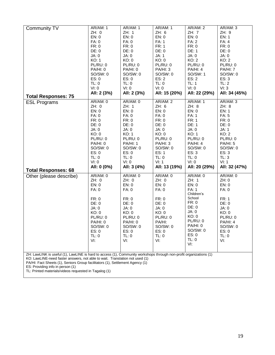| Community TV                                                                                                                                                                                      | AR/AM: 1    | AR/AM: 1        | AR/AM: 1      | AR/AM: 2      | AR/AM: 3        |
|---------------------------------------------------------------------------------------------------------------------------------------------------------------------------------------------------|-------------|-----------------|---------------|---------------|-----------------|
|                                                                                                                                                                                                   | ZH: 0       | ZH: 1           | ZH: 6         | ZH: 7         | ZH: 9           |
|                                                                                                                                                                                                   | EN: 0       | EN: 0           | EN: 0         | EN: 0         | EN: 1           |
|                                                                                                                                                                                                   | FA: 0       | FA: 0           | FA: 1         | <b>FA: 2</b>  | FA: 4           |
|                                                                                                                                                                                                   | FR: 0       | FR: 0           | FR: 1         | FR: 0         | FR: 0           |
|                                                                                                                                                                                                   | DE: 0       | DE: 0           | DE: 0         | DE: 1         | DE: 0           |
|                                                                                                                                                                                                   | JA: 0       | JA: 0           | JA: 1         | JA: 0         | JA: 0           |
|                                                                                                                                                                                                   | KO: 1       | KO: 0           | KO: 0         | KO: 2         | KO: 2           |
|                                                                                                                                                                                                   | PL/RU: 0    | PL/RU: 0        | PL/RU: 0      | PL/RU: 0      | <b>PL/RU: 0</b> |
|                                                                                                                                                                                                   | PA/HI: 0    | PA/HI: 0        | PA/HI: 3      | PA/HI: 4      | PA/HI: 7        |
|                                                                                                                                                                                                   | SO/SW: 0    | SO/SW: 0        | SO/SW: 0      | SO/SW: 1      | SO/SW: 0        |
|                                                                                                                                                                                                   | ES: 0       | ES: 0           | ES: 2         | ES: 2         | ES: 3           |
|                                                                                                                                                                                                   | TL: 0       | TL: 0           | TL: 0         | TL: 1         | TL: 2           |
|                                                                                                                                                                                                   | VI: 0       | VI: 0           | VI: 0         | VI: 0         | VI: 3           |
|                                                                                                                                                                                                   | All: 2 (3%) | All: 2 (3%)     | All: 15 (20%) | All: 22 (29%) | All: 34 (45%)   |
| <b>Total Responses: 75</b>                                                                                                                                                                        |             |                 |               |               |                 |
| <b>ESL Programs</b>                                                                                                                                                                               | AR/AM: 0    | AR/AM: 0        | AR/AM: 2      | AR/AM: 1      | AR/AM: 3        |
|                                                                                                                                                                                                   | ZH: 0       | ZH: 1           | ZH: 6         | ZH: 8         | ZH: 8           |
|                                                                                                                                                                                                   | EN: 0       | EN: 0           | EN: 0         | EN: 0         | EN: 1           |
|                                                                                                                                                                                                   | FA: 0       | FA: 0           | FA: 0         | FA: 1         | FA: 5           |
|                                                                                                                                                                                                   | FR: 0       | FR: 0           | FR: 0         | <b>FR: 1</b>  | FR: 0           |
|                                                                                                                                                                                                   | DE: 0       | DE: 0           | DE: 0         | <b>DE: 1</b>  | DE: 0           |
|                                                                                                                                                                                                   | JA: 0       | JA: 0           | JA: 0         | JA: 0         | JA: 1           |
|                                                                                                                                                                                                   | KO: 0       | KO: 1           | KO: 0         | KO: 1         | KO: 2           |
|                                                                                                                                                                                                   | PL/RU: 0    | PL/RU: 0        | PL/RU: 0      | PL/RU: 0      | PL/RU: 0        |
|                                                                                                                                                                                                   | PA/HI: 0    | <b>PA/HI: 1</b> | PA/HI: 3      | PA/HI: 4      | PA/HI: 5        |
|                                                                                                                                                                                                   |             | SO/SW: 0        |               |               |                 |
|                                                                                                                                                                                                   | SO/SW: 0    |                 | SO/SW: 0      | SO/SW: 0      | SO/SW: 0        |
|                                                                                                                                                                                                   | ES: 0       | ES: 0           | ES: 1         | ES: 3         | ES: 3           |
|                                                                                                                                                                                                   | TL: 0       | TL: 0           | TL: 0         | TL: 0         | TL: 3           |
|                                                                                                                                                                                                   | VI: 0       | VI: 0           | VI: 1         | VI: 0         | VI: 1           |
| <b>Total Responses: 68</b>                                                                                                                                                                        | All: 0 (0%) | All: 3 (4%)     | All: 13 (19%) | All: 20 (29%) | All: 32 (47%)   |
| Other (please describe)                                                                                                                                                                           | AR/AM: 0    | AR/AM: 0        | AR/AM: 0      | AR/AM: 0      | AR/AM: 0        |
|                                                                                                                                                                                                   | ZH: 0       | ZH: 0           | ZH: 0         | ZH: 1         | ZH:0            |
|                                                                                                                                                                                                   | EN: 0       | EN: 0           | EN: 0         | EN: 0         | EN: 0           |
|                                                                                                                                                                                                   | FA: 0       | FA: 0           | FA: 0         | <b>FA: 1</b>  | <b>FA: 0</b>    |
|                                                                                                                                                                                                   |             |                 |               | Children's    |                 |
|                                                                                                                                                                                                   | FR: 0       | FR: 0           | FR: 0         | School        | FR: 1           |
|                                                                                                                                                                                                   | DE: 0       | DE: 0           | DE: 0         | FR: 0         | DE: 0           |
|                                                                                                                                                                                                   | JA: 0       | JA: 0           | JA: 0         | DE: 0         | JA: 0           |
|                                                                                                                                                                                                   | KO: 0       | KO: 0           | KO: 0         | JA: 0         | KO: 0           |
|                                                                                                                                                                                                   | PL/RU: 0    | PL/RU: 0        | PL/RU: 0      | KO: 0         | PL/RU: 0        |
|                                                                                                                                                                                                   | PA/HI: 0    | PA/HI: 0        | PA/HI:        | PL/RU: 0      | PA/HI: 4        |
|                                                                                                                                                                                                   |             |                 |               | PA/HI: 0      | SO/SW: 0        |
|                                                                                                                                                                                                   |             |                 |               |               |                 |
|                                                                                                                                                                                                   | SO/SW: 0    | SO/SW: 0        | SO/SW: 0      |               |                 |
|                                                                                                                                                                                                   | ES: 0       | ES: 0           | ES: 0         | SO/SW: 0      | ES: 0           |
|                                                                                                                                                                                                   | TL: 0       | TL: 0           | TL: 0         | ES: 0         | TL: 0           |
|                                                                                                                                                                                                   | VI:         | VI:             | VI:           | TL: 0         | VI:             |
|                                                                                                                                                                                                   |             |                 |               | VI:           |                 |
|                                                                                                                                                                                                   |             |                 |               |               |                 |
| ZH: LawLINK is useful (1), LawLINE is hard to access (1), Community workshops through non-profit organizations (1)<br>KO: LawLINE-need faster answers, not able to wait. Translation not used (1) |             |                 |               |               |                 |
| PA/HI: Fact Sheets (1), Seniors Group facilitators (1), Settlement Agency (1)<br>ES: Providing info in person (1)                                                                                 |             |                 |               |               |                 |

TL: Printed materials/videos requested in Tagalog (1)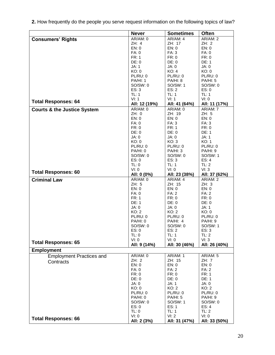**2.** How frequently do the people you serve request information on the following topics of law?

|                                        | <b>Never</b>      | <b>Sometimes</b>   | <b>Often</b>          |
|----------------------------------------|-------------------|--------------------|-----------------------|
| <b>Consumers' Rights</b>               | AR/AM: 0          | AR/AM: 4           | AR/AM: 2              |
|                                        | ZH: 4             | ZH: 17             | ZH: 2                 |
|                                        | EN: 0             | EN: 0              | EN: 0                 |
|                                        | FA: 0             | FA: 3              | <b>FA: 0</b>          |
|                                        | FR: 1<br>DE: 0    | FR: 0<br>DE: 0     | FR: 0                 |
|                                        | JA: 1             | JA: 0              | <b>DE: 1</b><br>JA: 0 |
|                                        | KO: 0             | KO: 4              | KO: 0                 |
|                                        | PL/RU: 0          | PL/RU: 0           | PL/RU: 0              |
|                                        | <b>PA/HI: 1</b>   | PA/HI: 8           | PA/HI: 5              |
|                                        | SO/SW: 0          | SO/SW: 1           | SO/SW: 0              |
|                                        | ES: 3             | ES: 2              | ES: 0                 |
|                                        | TL: 1             | TL: 1              | TL: 1                 |
| <b>Total Responses: 64</b>             | VI: 1             | VI: 1              | VI: 0                 |
|                                        | All: 12 (19%)     | All: 41 (64%)      | All: 11 (17%)         |
| <b>Courts &amp; the Justice System</b> | AR/AM: 0          | AR/AM: 0           | AR/AM: 7              |
|                                        | ZH: 0             | ZH: 19             | ZH: 5                 |
|                                        | EN: 0             | EN: 0<br>FA: 3     | EN: 0<br>FA: 3        |
|                                        | FA: 0<br>FR: 0    | <b>FR: 1</b>       | FR: 0                 |
|                                        | DE: 0             | DE: 0              | <b>DE: 1</b>          |
|                                        | JA: 0             | JA: 0              | JA: 1                 |
|                                        | KO: 0             | KO: 3              | <b>KO: 1</b>          |
|                                        | PL/RU: 0          | PL/RU: 0           | PL/RU: 0              |
|                                        | PA/HI: 0          | PA/HI: 3           | PA/HI: 9              |
|                                        | SO/SW: 0          | SO/SW: 0           | SO/SW: 1              |
|                                        | ES: 0             | ES: 3              | ES: 4                 |
|                                        | TL: 0             | TL: 1              | TL: 2                 |
| <b>Total Responses: 60</b>             | VI: 0             | VI: 0              | VI: 3                 |
|                                        | All: 0 (0%)       | All: 23 (38%)      | All: 37 (62%)         |
| <b>Criminal Law</b>                    | AR/AM: 0<br>ZH: 5 | AR/AM: 4<br>ZH: 15 | AR/AM: 2<br>ZH: 3     |
|                                        | EN: 0             | EN: 0              | EN: 0                 |
|                                        | FA: 0             | <b>FA: 2</b>       | FA: 2                 |
|                                        | <b>FR: 1</b>      | FR: 0              | FR: 0                 |
|                                        | <b>DE: 1</b>      | DE: 0              | DE: 0                 |
|                                        | JA: 0             | JA: 0              | JA: 1                 |
|                                        | KO: 2             | KO: 2              | KO: 0                 |
|                                        | PL/RU: 0          | PL/RU: 0           | PL/RU: 0              |
|                                        | PA/HI: 0          | <b>PA/HI: 4</b>    | PA/HI: 9              |
|                                        | SO/SW: 0          | SO/SW: 0           | SO/SW: 1              |
|                                        | ES: 0<br>TL: 0    | ES: 2<br>TL: 1     | ES: 3<br>TL: 2        |
|                                        | VI: 0             | VI: 0              | VI: 3                 |
| <b>Total Responses: 65</b>             | All: 9 (14%)      | All: 30 (46%)      | All: 26 (40%)         |
| <b>Employment</b>                      |                   |                    |                       |
| <b>Employment Practices and</b>        | AR/AM: 0          | <b>AR/AM: 1</b>    | <b>AR/AM: 5</b>       |
| Contracts                              | ZH: 2             | ZH: 15             | ZH: 7                 |
|                                        | EN: 0             | EN: 0              | EN: 0                 |
|                                        | FA: 0             | FA: 2              | FA: 2                 |
|                                        | FR: 0             | FR: 0              | <b>FR: 1</b>          |
|                                        | DE: 0             | DE: 0              | <b>DE: 1</b>          |
|                                        | JA: 0<br>KO: 0    | JA: 1<br>KO: 2     | JA: 0<br>KO: 2        |
|                                        | PL/RU: 0          | PL/RU: 0           | PL/RU: 0              |
|                                        | PA/HI: 0          | <b>PA/HI: 5</b>    | PA/HI: 9              |
|                                        | SO/SW: 0          | SO/SW: 1           | SO/SW: 0              |
|                                        | ES: 0             | ES: 1              | ES: 4                 |
|                                        | TL: 0             | TL: 1              | TL: 2                 |
|                                        | VI: 0             | VI: 2              | VI: 0                 |
| <b>Total Responses: 66</b>             | All: 2 (3%)       | All: 31 (47%)      | All: 33 (50%)         |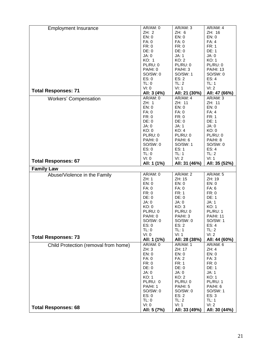| <b>Employment Insurance</b>          | AR/AM: 0                | AR/AM: 3                         | AR/AM: 4                  |
|--------------------------------------|-------------------------|----------------------------------|---------------------------|
|                                      | ZH: 2                   | ZH: 6                            | ZH: 16                    |
|                                      | EN: 0                   | EN: 0                            | EN: 0                     |
|                                      | FA: 0                   | FA: 0                            | FA: 4                     |
|                                      | FR: 0                   | FR: 0                            | <b>FR: 1</b>              |
|                                      |                         |                                  |                           |
|                                      | DE: 0                   | DE: 0                            | <b>DE: 1</b>              |
|                                      | JA: 0                   | JA: 1                            | JA: 0                     |
|                                      | KO: 1                   | KO: 2                            | KO: 1                     |
|                                      | PL/RU: 0                | PL/RU: 0                         | PL/RU: 0                  |
|                                      | PA/HI: 0                | PA/HI: 3                         | <b>PA/HI: 13</b>          |
|                                      | SO/SW: 0                | SO/SW: 1                         | SO/SW: 0                  |
|                                      | ES: 0                   | ES: 2                            | ES: 4                     |
|                                      | TL: 0                   | TL: 2                            | TL: 1                     |
|                                      | VI: 0                   | VI: 1                            | VI: 2                     |
| <b>Total Responses: 71</b>           | All: 3 (4%)             | All: 21 (30%)                    | All: 47 (66%)             |
| <b>Workers' Compensation</b>         | AR/AM: 0                | AR/AM: 4                         | AR/AM: 3                  |
|                                      | ZH: 1                   | ZH: 11                           | ZH: 11                    |
|                                      | EN: 0                   | EN: 0                            | EN: 0                     |
|                                      | FA: 0                   | FA: 0                            | FA: 4                     |
|                                      | FR: 0                   | FR: 0                            | <b>FR: 1</b>              |
|                                      | DE: 0                   | DE: 0                            | <b>DE: 1</b>              |
|                                      | JA: 0                   | JA: 1                            | JA: 0                     |
|                                      | KO: 0                   | KO: 4                            | KO: 0                     |
|                                      | PL/RU: 0                | PL/RU: 0                         | PL/RU: 0                  |
|                                      | PA/HI: 0                | PA/HI: 6                         | PA/HI: 8                  |
|                                      | SO/SW: 0                | SO/SW: 1                         | SO/SW: 0                  |
|                                      | ES: 0                   | ES: 1                            | ES: 4                     |
|                                      |                         | TL: 1                            |                           |
|                                      | TL: 0                   |                                  | TL: 2                     |
| <b>Total Responses: 67</b>           | VI: 0                   | VI: 2                            | VI: 1                     |
|                                      | All: 1 (1%)             | All: 31 (46%)                    | All: 35 (52%)             |
|                                      |                         |                                  |                           |
| <b>Family Law</b>                    |                         |                                  |                           |
| Abuse/Violence in the Family         | AR/AM: 0                | AR/AM: 2                         | AR/AM: 5                  |
|                                      | ZH: 1                   | ZH: 15                           | ZH: 19                    |
|                                      | EN: 0                   | EN: 0                            | EN: 0                     |
|                                      | FA: 0                   | FA: 0                            | FA: 6                     |
|                                      | FR: 0                   | <b>FR: 1</b>                     | FR: 0                     |
|                                      | DE: 0                   | DE: 0                            | <b>DE: 1</b>              |
|                                      | JA: 0                   | JA: 0                            | JA: 1                     |
|                                      | KO: 0                   | KO: 3                            | KO: 1                     |
|                                      | PL/RU: 0                | PL/RU: 0                         | PL/RU: 1                  |
|                                      | PA/HI: 0                | PA/HI: 3                         | <b>PA/HI: 11</b>          |
|                                      | SO/SW: 0                | SO/SW: 0                         | SO/SW: 1                  |
|                                      |                         |                                  |                           |
|                                      | ES: 0<br>TL: 0          | ES: 2                            | ES: 4<br>TL: 2            |
|                                      | VI: 0                   | TL: 1<br>VI: 1                   | VI: 2                     |
| <b>Total Responses: 73</b>           |                         |                                  |                           |
|                                      | All: 1 (1%)<br>AR/AM: 0 | All: 28 (38%)<br><b>AR/AM: 1</b> | All: 44 (60%)<br>AR/AM: 6 |
| Child Protection (removal from home) | ZH:3                    | ZH: 17                           | ZH: 4                     |
|                                      | EN: 0                   | EN: 0                            | EN: 0                     |
|                                      | FA: 0                   | FA: 2                            | FA: 3                     |
|                                      |                         |                                  |                           |
|                                      | FR: 0                   | <b>FR: 1</b>                     | FR: 0                     |
|                                      | DE: 0                   | DE: 0                            | DE: 1                     |
|                                      | JA: 0                   | JA: 0                            | JA: 1                     |
|                                      | KO: 1                   | KO: 2                            | KO: 1                     |
|                                      | PL/RU: 0                | PL/RU: 0                         | PL/RU: 1                  |
|                                      | <b>PA/HI: 1</b>         | <b>PA/HI: 5</b>                  | PA/HI: 6                  |
|                                      | SO/SW: 0                | SO/SW: 0                         | SO/SW: 1                  |
|                                      | ES: 0                   | ES: 2                            | ES: 3                     |
|                                      | TL: 0                   | TL: 2                            | TL: 1                     |
| <b>Total Responses: 68</b>           | VI: 0<br>All: 5 (7%)    | VI: 1<br>All: 33 (49%)           | VI: 2<br>All: 30 (44%)    |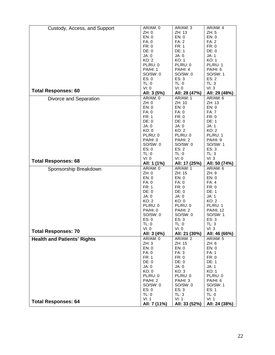| Custody, Access, and Support       | AR/AM: 0                | AR/AM: 3                         | AR/AM: 4                  |
|------------------------------------|-------------------------|----------------------------------|---------------------------|
|                                    | ZH: 0                   | ZH: 13                           | ZH: 5                     |
|                                    | EN: 0                   | EN: 0                            | EN: 0                     |
|                                    | <b>FA: 0</b>            | <b>FA: 2</b>                     | FA: 2                     |
|                                    | FR: 0                   | <b>FR: 1</b>                     | FR: 0                     |
|                                    | DE: 0                   | DE: 1                            | DE: 0                     |
|                                    | JA: 0                   | JA: 0                            | JA: 1                     |
|                                    | KO: 2                   | KO: 1                            | KO: 1                     |
|                                    | PL/RU: 0                | PL/RU: 0                         | PL/RU: 1                  |
|                                    | <b>PA/HI: 1</b>         | PA/HI: 4                         | PA/HI: 6                  |
|                                    | SO/SW: 0                | SO/SW: 0                         | SO/SW: 1                  |
|                                    | ES: 0                   | ES: 3                            | ES: 2                     |
|                                    | TL: 0                   | TL: 0                            | TL: 3                     |
|                                    | VI: 0                   | VI: 0                            | VI: 3                     |
| <b>Total Responses: 60</b>         | All: 3 (5%)             | All: 28 (47%)                    | All: 29 (48%)             |
| Divorce and Separation             | AR/AM: 0                | <b>AR/AM: 1</b>                  | AR/AM: 6                  |
|                                    | ZH:0                    | ZH: 10                           | ZH: 13                    |
|                                    | EN: 0                   | EN: 0                            | EN: 0                     |
|                                    | FA: 0                   | FA: 0                            | <b>FA: 7</b>              |
|                                    | FR: 1                   | FR: 0                            | FR: 0                     |
|                                    | DE: 0                   | DE: 0                            | <b>DE: 1</b>              |
|                                    | JA: 0                   | JA: 0                            | JA: 1                     |
|                                    | KO: 0                   | KO: 2                            | KO: 2                     |
|                                    | PL/RU: 0                | PL/RU: 0                         | PL/RU: 1                  |
|                                    | PA/HI: 0                | PA/HI: 2                         | <b>PA/HI: 9</b>           |
|                                    | SO/SW: 0                | SO/SW: 0                         | SO/SW: 1                  |
|                                    | ES: 0                   | ES: 2                            | ES: 3                     |
|                                    | TL: 0<br>VI: 0          | TL: 0<br>VI: 0                   | TL: 3<br>VI: 3            |
| <b>Total Responses: 68</b>         |                         |                                  |                           |
|                                    | All: 1 (1%)<br>AR/AM: 0 | All: 17 (25%)<br><b>AR/AM: 1</b> | All: 50 (74%)<br>AR/AM: 6 |
| Sponsorship Breakdown              | ZH:0                    | ZH: 15                           | ZH: 9                     |
|                                    | EN: 0                   | EN: 0                            | EN: 0                     |
|                                    | FA: 0                   | FA: 0                            | FA: 4                     |
|                                    | <b>FR: 1</b>            | FR: 0                            | FR: 0                     |
|                                    | DE: 0                   | DE: 0                            | <b>DE: 1</b>              |
|                                    | JA: 0                   | JA: 0                            | JA: 1                     |
|                                    | KO: 2                   | KO: 0                            | KO: 2                     |
|                                    | PL/RU: 0                | PL/RU: 0                         | PL/RU: 1                  |
|                                    | PA/HI: 0                | PA/HI: 2                         | <b>PA/HI: 12</b>          |
|                                    | SO/SW: 0                | SO/SW: 0                         | SO/SW: 1                  |
|                                    | ES: 0                   | ES: 3                            | ES: 3                     |
|                                    | TL: 0                   | TL: 0                            | TL: 3                     |
| <b>Total Responses: 70</b>         | VI: 0                   | VI: 0                            | VI: 3                     |
|                                    | All: 3 (4%)             | All: 21 (30%)                    | All: 46 (66%)             |
| <b>Health and Patients' Rights</b> | AR/AM: 0                | <b>AR/AM: 2</b>                  | <b>AR/AM: 5</b>           |
|                                    | ZH: 3                   | ZH: 15                           | ZH: 6                     |
|                                    | EN: 0                   | EN: 0                            | EN: 0                     |
|                                    | FA: 0                   | FA: 3                            | FA: 1                     |
|                                    | FR: 1                   | FR: 0                            | FR: 0                     |
|                                    | DE: 0                   | DE: 0                            | <b>DE: 1</b>              |
|                                    | JA: 0<br>KO: 0          | JA: 0<br>KO: 3                   | JA: 1<br>KO: 1            |
|                                    | PL/RU: 0                | PL/RU: 0                         | PL/RU: 0                  |
|                                    | <b>PA/HI: 2</b>         | <b>PA/HI: 3</b>                  | PA/HI: 6                  |
|                                    | SO/SW: 0                | SO/SW: 0                         | SO/SW: 1                  |
|                                    | ES: 0                   | ES: 3                            | ES: 1                     |
|                                    | TL: 0                   | TL: 3                            | TL: 0                     |
|                                    | VI: 1                   | VI: 1                            | VI: 1                     |
| <b>Total Responses: 64</b>         | All: 7 (11%)            | All: 33 (52%)                    | All: 24 (38%)             |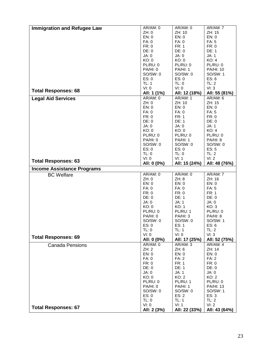|                                    | AR/AM: 0             | AR/AM: 0               | AR/AM: 7               |
|------------------------------------|----------------------|------------------------|------------------------|
| <b>Immigration and Refugee Law</b> | ZH:0                 | ZH: 10                 | ZH: 15                 |
|                                    | EN: 0                | EN: 0                  | EN: 0                  |
|                                    |                      | FA: 0                  | FA: 5                  |
|                                    | FA: 0                |                        |                        |
|                                    | FR: 0                | <b>FR: 1</b>           | FR: 0                  |
|                                    | DE: 0                | DE: 0                  | DE: 1                  |
|                                    | JA: 0                | JA: 0                  | JA: 1                  |
|                                    | KO: 0                | KO: 0                  | KO: 4                  |
|                                    | PL/RU: 0             | PL/RU: 0               | PL/RU: 0               |
|                                    | PA/HI: 0             | <b>PA/HI: 1</b>        | <b>PA/HI: 10</b>       |
|                                    | SO/SW: 0             | SO/SW: 0               | SO/SW: 1               |
|                                    | ES: 0                | ES: 0                  | ES: 6                  |
|                                    | TL: 1                | TL: 0                  | TL: 2                  |
|                                    | VI: 0                | VI: 0                  | VI: 3                  |
| <b>Total Responses: 68</b>         | All: 1 (1%)          | All: 12 (18%)          | All: 55 (81%)          |
| <b>Legal Aid Services</b>          | AR/AM: 0             | AR/AM: 1               | AR/AM: 6               |
|                                    | ZH:0                 | ZH: 10                 | ZH: 15                 |
|                                    | EN: 0                | EN: 0                  | EN: 0                  |
|                                    | FA: 0                | FA: 0                  | FA: 5                  |
|                                    | FR: 0                | <b>FR: 1</b>           | FR: 0                  |
|                                    | DE: 0                | <b>DE: 1</b>           | DE: 0                  |
|                                    | JA: 0                | JA: 0                  | JA: 1                  |
|                                    | KO: 0                | KO: 0                  | KO: 4                  |
|                                    | PL/RU: 0             | PL/RU: 0               | PL/RU: 0               |
|                                    | PA/HI: 0             | <b>PA/HI: 1</b>        | PA/HI: 8               |
|                                    | SO/SW: 0             | SO/SW: 0               |                        |
|                                    | ES: 0                | ES: 0                  | SO/SW: 0<br>ES: 5      |
|                                    |                      |                        |                        |
|                                    | TL: 0                | TL: 0                  | TL: 2                  |
| <b>Total Responses: 63</b>         | VI: 0                | VI: 1                  | VI: 2                  |
|                                    | All: 0 (0%)          | All: 15 (24%)          | All: 48 (76%)          |
| <b>Income Assistance Programs</b>  |                      |                        |                        |
|                                    |                      |                        |                        |
| <b>BC</b> Welfare                  | AR/AM: 0             | AR/AM: 0               | AR/AM: 7               |
|                                    | ZH: 0                | ZH: 8                  | ZH: 16                 |
|                                    | EN: 0                | EN: 0                  | EN: 0                  |
|                                    | FA: 0                | FA: 0                  | FA: 5                  |
|                                    | FR: 0                | FR: 0                  | FR: 1                  |
|                                    | DE: 0                | DE: 1                  | DE: 0                  |
|                                    | JA: 0                | JA: 1                  | JA: 0                  |
|                                    | KO: 0                | KO: 1                  | KO: 3                  |
|                                    |                      |                        |                        |
|                                    | PL/RU: 0             | PL/RU: 1               | PL/RU: 0               |
|                                    | PA/HI: 0             | PA/HI: 3               | PA/HI: 8               |
|                                    | SO/SW: 0             | SO/SW: 0               | SO/SW: 1               |
|                                    | ES: 0                | ES: 1                  | ES: 6                  |
|                                    | TL: 0<br>VI: 0       | TL: 1<br>VI: 0         | TL: 2                  |
| <b>Total Responses: 69</b>         |                      |                        | VI: 3                  |
|                                    | All: 0 (0%)          | All: 17 (25%)          | All: 52 (75%)          |
| <b>Canada Pensions</b>             | AR/AM: 0             | AR/AM: 3               | AR/AM: 4               |
|                                    | ZH: 2                | ZH: 6                  | ZH: 14                 |
|                                    | EN: 0                | EN: 0                  | EN: 0                  |
|                                    | <b>FA: 0</b>         | FA: 2                  | <b>FA: 2</b>           |
|                                    | FR: 0                | <b>FR: 1</b>           | FR: 0                  |
|                                    | DE: 0                | DE: 1                  | DE: 0                  |
|                                    | JA: 0                | JA: 1                  | JA: 0                  |
|                                    | KO: 0                | KO: 2                  | KO: 2                  |
|                                    | PL/RU: 0             | PL/RU: 1               | PL/RU: 0               |
|                                    | PA/HI: 0             | PA/HI: 1               | <b>PA/HI: 13</b>       |
|                                    | SO/SW: 0             | SO/SW: 0               | SO/SW: 1               |
|                                    | ES: 0                | ES: 2                  | ES: 3                  |
|                                    | TL: 0                | TL: 1                  | TL: 2                  |
| <b>Total Responses: 67</b>         | VI: 0<br>All: 2 (3%) | VI: 1<br>All: 22 (33%) | VI: 2<br>All: 43 (64%) |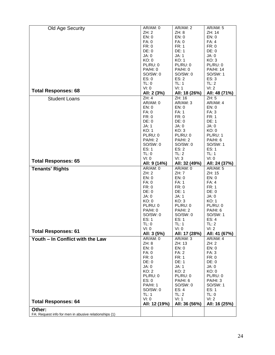|                                  | AR/AM: 0        | <b>AR/AM: 2</b> | <b>AR/AM: 5</b>  |
|----------------------------------|-----------------|-----------------|------------------|
| Old Age Security                 |                 |                 |                  |
|                                  | ZH:2            | ZH: 8           | ZH: 14           |
|                                  | EN: 0           | EN: 0           | EN: 0            |
|                                  | <b>FA: 0</b>    | FA: 0           | FA: 4            |
|                                  | FR: 0           | <b>FR: 1</b>    | FR: 0            |
|                                  | DE: 0           | DE: 1           | DE: 0            |
|                                  | JA: 0           | JA: 1           | JA: 0            |
|                                  | KO: 0           | KO: 1           | KO: 3            |
|                                  | PL/RU: 0        | PL/RU: 0        | PL/RU: 0         |
|                                  | PA/HI: 0        | PA/HI: 0        | <b>PA/HI: 14</b> |
|                                  | SO/SW: 0        | SO/SW: 0        | SO/SW: 1         |
|                                  | ES: 0           | ES: 2           | ES: 3            |
|                                  | TL: 0           | TL: 1           | TL: 2            |
|                                  |                 |                 |                  |
| <b>Total Responses: 68</b>       | VI: 0           | VI: 1           | VI: 2            |
|                                  | All: 2 (3%)     | All: 18 (26%)   | All: 48 (71%)    |
| <b>Student Loans</b>             | ZH: 4           | ZH: 16          | ZH: 5            |
|                                  | AR/AM: 0        | AR/AM: 3        | AR/AM: 4         |
|                                  | EN: 0           | EN: 0           | EN: 0            |
|                                  | FA: 0           | FA: 1           | FA: 3            |
|                                  | FR: 0           | FR: 0           | <b>FR: 1</b>     |
|                                  | DE: 0           | DE: 0           | <b>DE: 1</b>     |
|                                  | JA: 1           | JA: 0           | JA: 0            |
|                                  |                 |                 |                  |
|                                  | KO: 1           | KO: 3           | KO: 0            |
|                                  | PL/RU: 0        | PL/RU: 0        | PL/RU: 1         |
|                                  | PA/HI: 2        | PA/HI: 2        | PA/HI: 6         |
|                                  | SO/SW: 0        | SO/SW: 0        | SO/SW: 1         |
|                                  | ES: 1           | ES: 2           | ES: 1            |
|                                  | TL: 0           | TL: 2           | <b>TL: 1</b>     |
|                                  | VI: 0           | VI: 3           | VI: 0            |
| <b>Total Responses: 65</b>       | All: 9 (14%)    | All: 32 (49%)   | All: 24 (37%)    |
| <b>Tenants' Rights</b>           | AR/AM: 0        | AR/AM: 0        | <b>AR/AM: 5</b>  |
|                                  | ZH:2            | ZH: 7           | ZH: 15           |
|                                  |                 |                 |                  |
|                                  |                 |                 |                  |
|                                  | EN: 0           | EN: 0           | EN: 0            |
|                                  | FA: 0           | <b>FA: 1</b>    | FA: 4            |
|                                  | FR: 0           | FR: 0           | <b>FR: 1</b>     |
|                                  | DE: 0           | <b>DE: 1</b>    | DE: 0            |
|                                  | JA: 0           | JA: 1           | JA: 0            |
|                                  | KO: 0           | KO: 3           | KO: 1            |
|                                  | PL/RU: 0        | PL/RU: 0        | PL/RU: 0         |
|                                  | PA/HI: 0        | PA/HI: 2        | PA/HI: 6         |
|                                  |                 |                 |                  |
|                                  | SO/SW: 0        | SO/SW: 0        | SO/SW: 1         |
|                                  | ES: 1           | ES: 1           | ES: 4<br>TL:2    |
|                                  | TL: 0           | TL: 1           |                  |
| <b>Total Responses: 61</b>       | VI: 0           | VI: 0           | VI: 2            |
|                                  | All: 3 (5%)     | All: 17 (28%)   | All: 41 (67%)    |
| Youth - In Conflict with the Law | AR/AM: 0        | AR/AM: 3        | AR/AM: 4         |
|                                  | ZH: 8           | ZH: 13          | ZH:2             |
|                                  | EN: 0           | EN: 0           | EN: 0            |
|                                  | FA: 0           | <b>FA: 2</b>    | FA: 3            |
|                                  | FR: 0           | FR: 1           | FR: 0            |
|                                  | DE: 0           | <b>DE: 1</b>    | DE: 0            |
|                                  | JA: 0           | JA: 1           | JA: 0            |
|                                  | KO: 2           | KO: 2           | KO: 0            |
|                                  | PL/RU: 0        | PL/RU: 0        | PL/RU: 0         |
|                                  |                 | PA/HI: 6        |                  |
|                                  | ES: 0           |                 | PA/HI: 3         |
|                                  | <b>PA/HI: 1</b> | SO/SW: 0        | SO/SW: 1         |
|                                  | SO/SW: 0        | ES: 4           | ES: 1            |
|                                  | TL: 1           | TL: 2           | TL: 0            |
| <b>Total Responses: 64</b>       | VI: 0           | VI: 1           | VI: 2            |
| Other:                           | All: 12 (19%)   | All: 36 (56%)   | All: 16 (25%)    |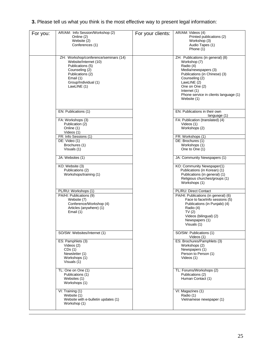| 3. Please tell us what you think is the most effective way to present legal information: |  |
|------------------------------------------------------------------------------------------|--|
|------------------------------------------------------------------------------------------|--|

| For you: | AR/AM: Info Session/Workshop (2)<br>Online (2)<br>Website (2)<br>Conferences (1)                                                                                             | For your clients: | AR/AM: Videos (4)<br>Printed publications (2)<br>Workshop (3)<br>Audio Tapes (1)<br>Phone (1)                                                                                                                                                      |
|----------|------------------------------------------------------------------------------------------------------------------------------------------------------------------------------|-------------------|----------------------------------------------------------------------------------------------------------------------------------------------------------------------------------------------------------------------------------------------------|
|          | ZH: Workshop/conference/seminars (14)<br>Website/Internet (10)<br>Publications (5)<br>Counseling (2)<br>Publications (2)<br>Email (1)<br>Group/Individual (1)<br>LawLINE (1) |                   | ZH: Publications (in general) (8)<br>Workshop (7)<br>Radio (4)<br>Media/newspapers (3)<br>Publications (in Chinese) (3)<br>Counseling (2)<br>LawLINE (2)<br>One on One (2)<br>Internet (1)<br>Phone service in clients language (1)<br>Website (1) |
|          | EN: Publications (1)                                                                                                                                                         |                   | EN: Publications in their own<br>language (1)                                                                                                                                                                                                      |
|          | FA: Workshops (3)<br>Publication (2)<br>Online (1)<br>Videos (1)                                                                                                             |                   | FA: Publication (translated) (4)<br>Videos (1)<br>Workshops (2)                                                                                                                                                                                    |
|          | FR: Info Sessions (1)                                                                                                                                                        |                   | FR: Workshops (1)                                                                                                                                                                                                                                  |
|          | DE: Video (1)                                                                                                                                                                |                   | DE: Brochures (1)                                                                                                                                                                                                                                  |
|          | Brochures (1)                                                                                                                                                                |                   | Workshops (1)                                                                                                                                                                                                                                      |
|          | Visuals (1)                                                                                                                                                                  |                   | One to One (1)                                                                                                                                                                                                                                     |
|          | JA: Websites (1)                                                                                                                                                             |                   | JA: Community Newspapers (1)                                                                                                                                                                                                                       |
|          | KO: Website (3)<br>Publications (2)<br>Workshops/training (1)                                                                                                                |                   | KO: Community Newspaper(1)<br>Publications (in Korean) (1)<br>Publications (in general) (1)<br>Religious churches/groups (1)<br>Workshops (1)                                                                                                      |
|          | PL/RU: Workshops (1)                                                                                                                                                         |                   | PL/RU: Direct Contact                                                                                                                                                                                                                              |
|          | PA/HI: Publications (9)<br>Website (7)<br>Conference/Workshop (4)<br>Articles (anywhere) (1)<br>Email (1)                                                                    |                   | PA/HI: Publications (in general) (6)<br>Face to face/info sessions (5)<br>Publications (in Punjabi) (4)<br>Radio (4)<br>TV(2)<br>Videos (bilingual) (2)<br>Newspapers (1)<br>Visuals (1)                                                           |
|          | SO/SW: Websites/Internet (1)                                                                                                                                                 |                   | SO/SW: Publications (1)<br>Videos (1)                                                                                                                                                                                                              |
|          | ES: Pamphlets (3)<br>Videos (2)<br>CDs(1)<br>Newsletter (1)<br>Workshops (1)<br>Visuals (1)                                                                                  |                   | ES: Brochures/Pamphlets (3)<br>Workshops (2)<br>Newspapers (1)<br>Person to Person (1)<br>Videos (1)                                                                                                                                               |
|          | TL: One on One (1)<br>Publications (1)<br>Websites (1)<br>Workshops (1)                                                                                                      |                   | TL: Forums/Workshops (2)<br>Publications (2)<br>Human Contact (1)                                                                                                                                                                                  |
|          | VI: Training (1)<br>Website (1)<br>Website with e-bulletin updates (1)<br>Workshop (1)                                                                                       |                   | VI: Magazines (1)<br>Radio (1)<br>Vietnamese newspaper (1)                                                                                                                                                                                         |
|          |                                                                                                                                                                              |                   |                                                                                                                                                                                                                                                    |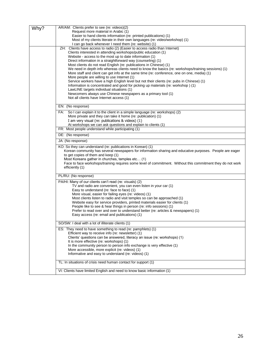| Why? | AR/AM: Clients prefer to see (re: videos)(2)                                                                                                                                                                                                                                                                                                                                                        |
|------|-----------------------------------------------------------------------------------------------------------------------------------------------------------------------------------------------------------------------------------------------------------------------------------------------------------------------------------------------------------------------------------------------------|
|      | Request more material in Arabic (1)                                                                                                                                                                                                                                                                                                                                                                 |
|      | Easier to hand clients information (re: printed publications) (1)                                                                                                                                                                                                                                                                                                                                   |
|      | Most of my clients literate in their own languages (re: video/workshop) (1)<br>I can go back whenever I need them (re: website) (1)                                                                                                                                                                                                                                                                 |
|      | ZH: Clients have access to radio (2) (Easier to access radio than Internet)                                                                                                                                                                                                                                                                                                                         |
|      | Clients interested in attending workshops/public education (1)                                                                                                                                                                                                                                                                                                                                      |
|      | Website - access to the most up to date information (1)                                                                                                                                                                                                                                                                                                                                             |
|      | Direct information in a straightforward way (counseling) (1)<br>Most clients do not read English (re: publications in Chinese) (1)                                                                                                                                                                                                                                                                  |
|      | We need in depth info whereas clients need to know the basics (re: workshops/training sessions) (1)                                                                                                                                                                                                                                                                                                 |
|      | More staff and client can get info at the same time (re: conference, one on one, media) (1)                                                                                                                                                                                                                                                                                                         |
|      | More people are willing to use Internet (1)                                                                                                                                                                                                                                                                                                                                                         |
|      | Service workers have a high English level but not their clients (re: pubs in Chinese) (1)<br>Information is concentrated and good for picking up materials (re: workshop) (1)                                                                                                                                                                                                                       |
|      | LawLINE targets individual situations (1)                                                                                                                                                                                                                                                                                                                                                           |
|      | Newcomers always use Chinese newspapers as a primary tool (1)                                                                                                                                                                                                                                                                                                                                       |
|      | Not all clients have Internet access (1)                                                                                                                                                                                                                                                                                                                                                            |
|      | EN: (No response)                                                                                                                                                                                                                                                                                                                                                                                   |
|      | FA: So I can explain it to the client in a simple language (re: workshops) (2)                                                                                                                                                                                                                                                                                                                      |
|      | More private and they can take it home (re: publication) (1)                                                                                                                                                                                                                                                                                                                                        |
|      | I am very visual (re: publications & videos) (1)                                                                                                                                                                                                                                                                                                                                                    |
|      | At workshops we can ask questions and explain to clients (1)                                                                                                                                                                                                                                                                                                                                        |
|      | FR: Most people understand while participating (1)                                                                                                                                                                                                                                                                                                                                                  |
|      | DE: (No response)                                                                                                                                                                                                                                                                                                                                                                                   |
|      | JA: (No response)                                                                                                                                                                                                                                                                                                                                                                                   |
|      | KO: So they can understand (re: publications in Korean) (1)<br>Korean community has several newspapers for information sharing and educative purposes. People are eager<br>to get copies of them and keep (1)<br>Most Koreans gather in churches, temples etc (1)<br>Face to face workshops/training requires some level of commitment. Without this commitment they do not work<br>efficiently (1) |
|      | PL/RU: (No response)                                                                                                                                                                                                                                                                                                                                                                                |
|      | PA/HI: Many of our clients can't read (re: visuals) (2)                                                                                                                                                                                                                                                                                                                                             |
|      | TV and radio are convenient, you can even listen in your car (1)                                                                                                                                                                                                                                                                                                                                    |
|      | Easy to understand (re: face to face) (1)<br>More visual, easier for failing eyes (re: videos) (1)                                                                                                                                                                                                                                                                                                  |
|      | Most clients listen to radio and visit temples so can be approached (1)                                                                                                                                                                                                                                                                                                                             |
|      | Website easy for service providers, printed materials easier for clients (1)                                                                                                                                                                                                                                                                                                                        |
|      | People like to see & hear things in person (re: info sessions) (1)<br>Prefer to read over and over to understand better (re: articles & newspapers) (1)                                                                                                                                                                                                                                             |
|      | Easy access (re: email and publications) (1)                                                                                                                                                                                                                                                                                                                                                        |
|      | SO/SW: I deal with a lot of illiterate clients (1)                                                                                                                                                                                                                                                                                                                                                  |
|      | ES: They need to have something to read (re: pamphlets) (1)                                                                                                                                                                                                                                                                                                                                         |
|      | Efficient way to receive info (re: newsletter) (1)                                                                                                                                                                                                                                                                                                                                                  |
|      | Clients' questions can be answered, literacy an issue (re: workshops) (1)<br>It is more effective (re: workshops) (1)                                                                                                                                                                                                                                                                               |
|      | In the community person to person info exchange is very effective (1)                                                                                                                                                                                                                                                                                                                               |
|      | More accessible, more explicit (re: videos) (1)                                                                                                                                                                                                                                                                                                                                                     |
|      | Informative and easy to understand (re: videos) (1)                                                                                                                                                                                                                                                                                                                                                 |
|      | TL: In situations of crisis need human contact for support (1)                                                                                                                                                                                                                                                                                                                                      |
|      | VI: Clients have limited English and need to know basic information (1)                                                                                                                                                                                                                                                                                                                             |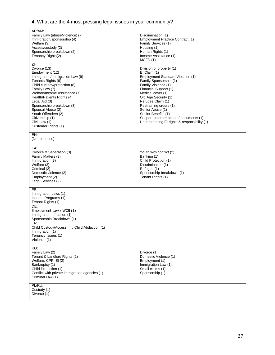# **4.** What are the 4 most pressing legal issues in your community?

| AR/AM:<br>Family Law (abuse/violence) (7)<br>Immigration/sponsorship (4)<br>Welfare (3)<br>Access/custody (2)<br>Sponsorship breakdown (2)<br>Tenancy Rights(2)                                                                                                                                                                                                       | Discrimination (1)<br>Employment Practice Contract (1)<br>Family Services (1)<br>Housing (1)<br>Human Rights (1)<br>Income Assistance (1)<br>MCFD(1)                                                                                                                                                                                                                                       |
|-----------------------------------------------------------------------------------------------------------------------------------------------------------------------------------------------------------------------------------------------------------------------------------------------------------------------------------------------------------------------|--------------------------------------------------------------------------------------------------------------------------------------------------------------------------------------------------------------------------------------------------------------------------------------------------------------------------------------------------------------------------------------------|
| ZH:<br>Divorce (13)<br>Employment (12)<br>Immigration/Immigration Law (9)<br>Tenants Rights (9)<br>Child custody/protection (8)<br>Family Law (7)<br>Welfare/Income Assistance (7)<br>Health/Patients Rights (4)<br>Legal Aid (3)<br>Sponsorship breakdown (3)<br>Spousal Abuse (2)<br>Youth Offenders (2)<br>Citizenship (1)<br>Civil Law (1)<br>Customer Rights (1) | Division of property (1)<br>El Claim (1)<br>Employment Standard Violation (1)<br>Family Sponsorship (1)<br>Family Violence (1)<br>Financial Support (1)<br>Medical cover (1)<br>Old Age Security (1)<br>Refugee Claim (1)<br>Restraining orders (1)<br>Senior Abuse (1)<br>Senior Benefits (1)<br>Support, interpretation of documents (1)<br>Understanding EI rights & responsibility (1) |
| EN:<br>(No response)                                                                                                                                                                                                                                                                                                                                                  |                                                                                                                                                                                                                                                                                                                                                                                            |
| FA:<br>Divorce & Separation (3)<br>Family Matters (3)<br>Immigration (3)<br>Welfare (3)<br>Criminal (2)<br>Domestic violence (2)<br>Employment (2)<br>Legal Services (2)                                                                                                                                                                                              | Youth with conflict (2)<br>Banking (1)<br>Child Protection (1)<br>Discrimination (1)<br>Refugee (1)<br>Sponsorship breakdown (1)<br>Tenant Rights (1)                                                                                                                                                                                                                                      |
| FR:<br>Immigration Laws (1)<br>Income Programs (1)<br>Tenant Rights (1)                                                                                                                                                                                                                                                                                               |                                                                                                                                                                                                                                                                                                                                                                                            |
| DE:<br>Employment Law / WCB (1)<br>Immigration Infraction (1)<br>Sponsorship Breakdown (1)                                                                                                                                                                                                                                                                            |                                                                                                                                                                                                                                                                                                                                                                                            |
| JA:<br>Child Custody/Access, Intl Child Abduction (1)<br>Immigration (1)<br>Tenancy Issues (1)<br>Violence (1)                                                                                                                                                                                                                                                        |                                                                                                                                                                                                                                                                                                                                                                                            |
| KO:<br>Family Law (2)<br>Tenant & Landlord Rights (2)<br>Welfare, CPP, EI (2)<br>Bankruptcy (1)<br>Child Protection (1)<br>Conflict with private immigration agencies (1)<br>Criminal Law (1)                                                                                                                                                                         | Divorce (1)<br>Domestic Violence (1)<br>Employment (1)<br>Immigration Law (1)<br>Small claims (1)<br>Sponsorship (1)                                                                                                                                                                                                                                                                       |
| PL/RU:<br>Custody (1)<br>Divorce (1)                                                                                                                                                                                                                                                                                                                                  |                                                                                                                                                                                                                                                                                                                                                                                            |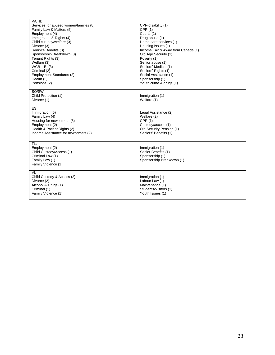| PA/HI:<br>Services for abused women/families (8)<br>Family Law & Matters (5)<br>Employment (4)<br>Immigration & Rights (4)<br>Child custody/welfare (3)<br>Divorce (3)<br>Senior's Benefits (3)<br>Sponsorship Breakdown (3)<br>Tenant Rights (3)<br>Welfare (3)<br>$WCB - EI(3)$<br>Criminal (2)<br>Employment Standards (2)<br>Health (2)<br>Pensions (2) | CPP-disability (1)<br>CPP(1)<br>Courts (1)<br>Drug abuse (1)<br>Home care services (1)<br>Housing Issues (1)<br>Income Tax & Away from Canada (1)<br>Old Age Security (1)<br>Poverty (1)<br>Senior abuse (1)<br>Seniors' Medical (1)<br>Seniors' Rights (1)<br>Social Assistance (1)<br>Sponsorship (1)<br>Youth crime & drugs (1) |  |
|-------------------------------------------------------------------------------------------------------------------------------------------------------------------------------------------------------------------------------------------------------------------------------------------------------------------------------------------------------------|------------------------------------------------------------------------------------------------------------------------------------------------------------------------------------------------------------------------------------------------------------------------------------------------------------------------------------|--|
| SO/SW:<br>Child Protection (1)<br>Divorce (1)                                                                                                                                                                                                                                                                                                               | Immigration (1)<br>Welfare (1)                                                                                                                                                                                                                                                                                                     |  |
| ES:<br>Immigration (5)<br>Family Law (4)<br>Housing for newcomers (3)<br>Employment (2)<br>Health & Patient Rights (2)<br>Income Assistance for newcomers (2)                                                                                                                                                                                               | Legal Assistance (2)<br>Welfare (2)<br>CPP(1)<br>Custody/access (1)<br>Old Security Pension (1)<br>Seniors' Benefits (1)                                                                                                                                                                                                           |  |
| TL:<br>Employment (2)<br>Child Custody/Access (1)<br>Criminal Law (1)<br>Family Law (1)<br>Family Violence (1)                                                                                                                                                                                                                                              | Immigration (1)<br>Senior Benefits (1)<br>Sponsorship (1)<br>Sponsorship Breakdown (1)                                                                                                                                                                                                                                             |  |
| VI:<br>Child Custody & Access (2)<br>Divorce (2)<br>Alcohol & Drugs (1)<br>Criminal (1)<br>Family Violence (1)                                                                                                                                                                                                                                              | Immigration (1)<br>Labour Law (1)<br>Maintenance (1)<br>Students/Visitors (1)<br>Youth Issues (1)                                                                                                                                                                                                                                  |  |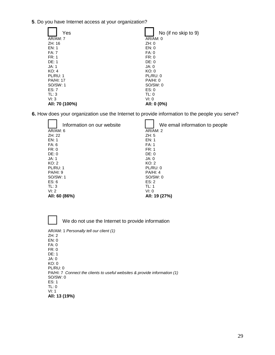**5**. Do you have Internet access at your organization?

| Yes              | No (if no skip to 9) |
|------------------|----------------------|
| AR/AM: 7         | AR/AM: 0             |
| ZH:16            | ZH:0                 |
| EN: 1            | EN: 0                |
| <b>FA: 7</b>     | FA:0                 |
| FR:1             | FR: 0                |
| DE: 1            | DE: 0                |
| JA: 1            | JA:0                 |
| KO: 4            | KO: 0                |
| PL/RU: 1         | PL/RU: 0             |
| <b>PA/HI: 17</b> | PA/HI: 0             |
| SO/SW: 1         | SO/SW:0              |
| ES: 7            | ES: 0                |
| TL: 3            | TL: 0                |
| VI: 3            | VI: 0                |
| All: 70 (100%)   | All: 0 (0%)          |

**6.** How does your organization use the Internet to provide information to the people you serve?

| Information on our website | We email information to people |
|----------------------------|--------------------------------|
| AR/AM: 6                   | AR/AM: 2                       |
| ZH: 22                     | ZH:5                           |
| EN: 1                      | EN: 1                          |
| FA: 6                      | FA: 1                          |
| FR: 0                      | FR:1                           |
| DE: 0                      | DE: 0                          |
| JA: 1                      | JA: 0                          |
| KO: 2                      | KO: 2                          |
| PL/RU: 1                   | PL/RU: 0                       |
| <b>PA/HI: 9</b>            | PA/HI: 4                       |
| SO/SW: 1                   | SO/SW:0                        |
| ES: 6                      | ES: 2                          |
| TL: 3                      | TL: 1                          |
| VI: 2                      | VI: 0                          |
| All: 60 (86%)              | All: 19 (27%)                  |

We do not use the Internet to provide information

| AR/AM: 1 Personally tell our client (1)                                   |
|---------------------------------------------------------------------------|
| ZH:2                                                                      |
| EN: 0                                                                     |
| FA: 0                                                                     |
| FR: 0                                                                     |
| DE: 1                                                                     |
| JA:0                                                                      |
| KO: 0                                                                     |
| PL/RU: 0                                                                  |
| PA/HI: 7 Connect the clients to useful websites & provide information (1) |
| SO/SW:0                                                                   |
| ES: 1                                                                     |
| TL: 0                                                                     |
| VI: 1                                                                     |
| All: 13 (19%)                                                             |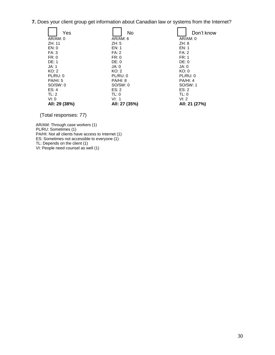**7.** Does your client group get information about Canadian law or systems from the Internet?

| Yes             | No            | Don't know    |
|-----------------|---------------|---------------|
| AR/AM: 0        | AR/AM: 6      | AR/AM: 0      |
| ZH:11           | ZH:5          | ZH: 8         |
| EN: 0           | EN: 1         | EN: 1         |
| FA:3            | FA: 2         | <b>FA: 2</b>  |
| FR: 0           | FR: 0         | FR: 1         |
| DE: 1           | DE: 0         | DE: 0         |
| JA: 1           | JA:0          | JA:0          |
| KO: 2           | KO: 2         | KO: 0         |
| <b>PL/RU: 0</b> | PL/RU: 0      | PL/RU: 0      |
| <b>PA/HI: 5</b> | PA/HI: 8      | PA/HI: 4      |
| SO/SW: 0        | SO/SW:0       | SO/SW: 1      |
| ES: 4           | ES: 2         | ES: 2         |
| TL: 2           | TL: 0         | TL: 0         |
| VI: 0           | VI: 1         | VI: 2         |
| All: 29 (38%)   | All: 27 (35%) | All: 21 (27%) |

(Total responses: 77)

AR/AM: Through case workers (1) PL/RU: Sometimes (1) PA/HI: Not all clients have access to Internet (1) ES: Sometimes not accessible to everyone (1) TL: Depends on the client (1) VI: People need counsel as well (1)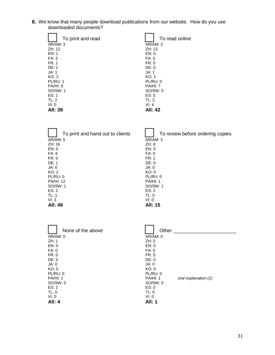**8.** We know that many people download publications from our website. How do you use downloaded documents?

| To print and read | To read online  |
|-------------------|-----------------|
| AR/AM: 3          | AR/AM: 3        |
| ZH: 12            | ZH: 13          |
| EN: 1             | EN: 0           |
| FA: 3             | FA: 5           |
| FR:1              | FR: 0           |
| DF: 1             | DE: 0           |
| JA: 1             | JA: 1           |
| KO: 3             | KO: 2           |
| PL/RU: 1          | PL/RU: 0        |
| <b>PA/HI: 8</b>   | <b>PA/HI: 7</b> |
| SO/SW: 1          | SO/SW:0         |
| ES: 2             | ES: 5           |
| TL: 2             | TL: 2           |
| VI: 0             | VI: 4           |
| AII: 39           | AII: 42         |

| To print and hand out to clients | To review before ordering copies |
|----------------------------------|----------------------------------|
| <b>AR/AM: 5</b>                  | AR/AM: 2                         |
| ZH: 16                           | ZH: 8                            |
| EN: 0                            | EN: 0                            |
| FA: 6                            | FA: 0                            |
| FR: 0                            | FR:1                             |
| DE: 1                            | DE: 0                            |
| JA:0                             | JA:0                             |
| KO: 2                            | KO: 0                            |
| PL/RU: 0                         | PL/RU: 0                         |
| <b>PA/HI: 12</b>                 | <b>PA/HI: 1</b>                  |
| SO/SW: 1                         | SO/SW: 1                         |
| ES: 2                            | ES: 2                            |
| TL: 1                            | TL: 0                            |
| VI: 3                            | VI: 0                            |
| <b>AII: 49</b>                   | <b>All: 15</b>                   |

| None of the above | Other                            |
|-------------------|----------------------------------|
| AR/AM: 0          | AR/AM: 0                         |
| ZH: 1             | ZH:0                             |
| EN: 0             | EN: 0                            |
| FA: 0             | FA: 0                            |
| FR: 0             | FR: 0                            |
| DE: 0             | DE: 0                            |
| JA:0              | JA:0                             |
| KO: 0             | KO: 0                            |
| PL/RU: 0          | PL/RU: 0                         |
| PA/HI: 1          | PA/HI: 1<br>oral explanation (1) |
| SO/SW:0           | SO/SW:0                          |
| ES: 2             | ES: 0                            |
| TL: 0             | TL: 0                            |
| VI: 0             | VI: 0                            |
| <b>All: 4</b>     | <b>All: 1</b>                    |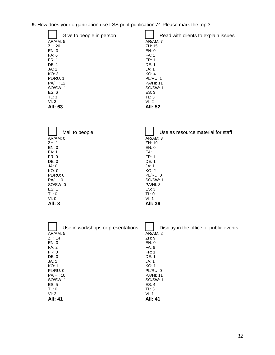|  |  |  |  |  | 9. How does your organization use LSS print publications? Please mark the top 3: |
|--|--|--|--|--|----------------------------------------------------------------------------------|
|--|--|--|--|--|----------------------------------------------------------------------------------|

| Give to people in person | Read with clients to explain issues |
|--------------------------|-------------------------------------|
| <b>AR/AM: 5</b>          | AR/AM: 7                            |
| ZH: 20                   | ZH: 15                              |
| EN: 0                    | EN: 0                               |
| FA: 6                    | FA: 1                               |
| FR:1                     | FR:1                                |
| DE: 1                    | DE: 1                               |
| JA: 1                    | JA: 1                               |
| KO: 3                    | KO: 4                               |
| <b>PL/RU: 1</b>          | <b>PL/RU: 1</b>                     |
| <b>PA/HI: 12</b>         | <b>PA/HI: 11</b>                    |
| SO/SW: 1                 | SO/SW: 1                            |
| ES: 6                    | ES: 3                               |
| TL: 3                    | TL: 3                               |
| VI: 3                    | VI: 2                               |
| All: 63                  | All: 52                             |

| Mail to people | Use as resource material for staff |
|----------------|------------------------------------|
| AR/AM: 0       | AR/AM: 3                           |
| ZH:1           | ZH:19                              |
| EN: 0          | EN: 0                              |
| FA: 1          | FA: 1                              |
| FR: 0          | FR:1                               |
| DE: 0          | DE: 1                              |
| JA:0           | JA: 1                              |
| KO: 0          | KO: 2                              |
| PL/RU: 0       | PL/RU: 0                           |
| PA/HI: 0       | SO/SW: 1                           |
| SO/SW:0        | PA/HI: 3                           |
| ES: 1          | ES: 3                              |
| TL: 0          | TL: 0                              |
| VI: 0          | VI: 1                              |
| <b>All: 3</b>  | All: 36                            |

| Use in workshops or presentations | Display in the office or public events |
|-----------------------------------|----------------------------------------|
| AR/AM: 5                          | AR/AM: 2                               |
| ZH: 14                            | ZH:9                                   |
| EN: 0                             | EN: 0                                  |
| FA: 2                             | FA: 6                                  |
| FR: 0                             | FR:1                                   |
| DE: 0                             | DE: 1                                  |
| JA: 1                             | JA: 1                                  |
| KO: 1                             | KO: 1                                  |
| PL/RU: 0                          | PL/RU: 0                               |
| <b>PA/HI: 10</b>                  | <b>PA/HI: 11</b>                       |
| SO/SW: 1                          | SO/SW: 1                               |
| ES: 5                             | ES: 4                                  |
| TL: 0                             | TL: 3                                  |
| VI: 2                             | VI: 1                                  |
| <b>All: 41</b>                    | <b>All: 41</b>                         |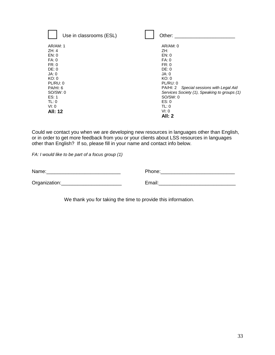| Use in classrooms (ESL) | Other:                                       |
|-------------------------|----------------------------------------------|
| AR/AM: 1                | AR/AM: 0                                     |
| ZH:4                    | ZH:                                          |
| EN: 0                   | EN: 0                                        |
| FA: 0                   | FA: 0                                        |
| FR: 0                   | FR: 0                                        |
| DE: 0                   | DE: 0                                        |
| JA: 0                   | JA: 0                                        |
| KO: 0                   | KO: 0                                        |
| PL/RU: 0                | PL/RU: 0                                     |
| PA/HI: 6                | PA/HI: 2<br>Special sessions with Legal Aid  |
| SO/SW:0                 | Services Society (1), Speaking to groups (1) |
| ES: 1                   | SO/SW:0                                      |
| TL: 0                   | ES: 0                                        |
| VI: 0                   | TL: 0                                        |
| <b>All: 12</b>          | VI: 0                                        |
|                         | <b>All: 2</b>                                |

Could we contact you when we are developing new resources in languages other than English, or in order to get more feedback from you or your clients about LSS resources in languages other than English? If so, please fill in your name and contact info below.

*FA: I would like to be part of a focus group (1)*

| Name:         | Phone: |
|---------------|--------|
| Organization: | Email: |

We thank you for taking the time to provide this information.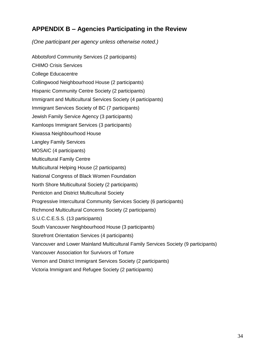# **APPENDIX B – Agencies Participating in the Review**

*(One participant per agency unless otherwise noted.)*

Abbotsford Community Services (2 participants) CHIMO Crisis Services College Educacentre Collingwood Neighbourhood House (2 participants) Hispanic Community Centre Society (2 participants) Immigrant and Multicultural Services Society (4 participants) Immigrant Services Society of BC (7 participants) Jewish Family Service Agency (3 participants) Kamloops Immigrant Services (3 participants) Kiwassa Neighbourhood House Langley Family Services MOSAIC (4 participants) Multicultural Family Centre Multicultural Helping House (2 participants) National Congress of Black Women Foundation North Shore Multicultural Society (2 participants) Penticton and District Multicultural Society Progressive Intercultural Community Services Society (6 participants) Richmond Multicultural Concerns Society (2 participants) S.U.C.C.E.S.S. (13 participants) South Vancouver Neighbourhood House (3 participants) Storefront Orientation Services (4 participants) Vancouver and Lower Mainland Multicultural Family Services Society (9 participants) Vancouver Association for Survivors of Torture Vernon and District Immigrant Services Society (2 participants) Victoria Immigrant and Refugee Society (2 participants)